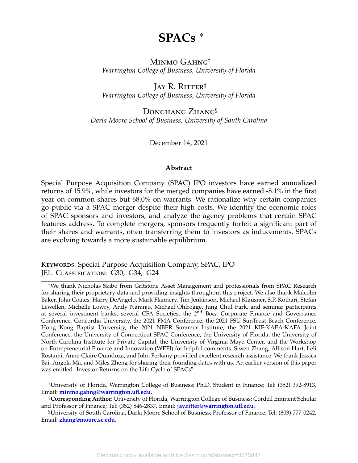# **SPACs** <sup>∗</sup>

## MINMO GAHNG<sup>†</sup> *Warrington College of Business, University of Florida*

## JAY R. RITTER<sup>‡</sup> *Warrington College of Business, University of Florida*

## DONGHANG ZHANG<sup>§</sup> *Darla Moore School of Business, University of South Carolina*

December 14, 2021

#### **Abstract**

Special Purpose Acquisition Company (SPAC) IPO investors have earned annualized returns of 15.9%, while investors for the merged companies have earned -8.1% in the first year on common shares but 68.0% on warrants. We rationalize why certain companies go public via a SPAC merger despite their high costs. We identify the economic roles of SPAC sponsors and investors, and analyze the agency problems that certain SPAC features address. To complete mergers, sponsors frequently forfeit a significant part of their shares and warrants, often transferring them to investors as inducements. SPACs are evolving towards a more sustainable equilibrium.

KEYWORDS: Special Purpose Acquisition Company, SPAC, IPO JEL Classification: G30, G34, G24

†University of Florida, Warrington College of Business; Ph.D. Student in Finance; Tel: (352) 392-8913, Email: **[minmo.gahng@warrington.ufl.edu](mailto:minmo.gahng@warrington.ufl.edu)**.

<sup>∗</sup>We thank Nicholas Skibo from Gritstone Asset Management and professionals from SPAC Research for sharing their proprietary data and providing insights throughout this project. We also thank Malcolm Baker, John Coates, Harry DeAngelo, Mark Flannery, Tim Jenkinson, Michael Klausner, S.P. Kothari, Stefan Lewellen, Michelle Lowry, Andy Naranjo, Michael Ohlrogge, Jung Chul Park, and seminar participants at several investment banks, several CFA Societies, the 2<sup>nd</sup> Boca Corporate Finance and Governance Conference, Concordia University, the 2021 FMA Conference, the 2021 FSU SunTrust Beach Conference, Hong Kong Baptist University, the 2021 NBER Summer Institute, the 2021 KIF-KAEA-KAFA Joint Conference, the University of Connecticut SPAC Conference, the University of Florida, the University of North Carolina Institute for Private Capital, the University of Virginia Mayo Center, and the Workshop on Entrepreneurial Finance and Innovation (WEFI) for helpful comments. Siwen Zhang, Allison Hart, Leli Rostami, Anne-Claire Quindoza, and John Ferkany provided excellent research assistance. We thank Jessica Bai, Angela Ma, and Miles Zheng for sharing their founding dates with us. An earlier version of this paper was entitled "Investor Returns on the Life Cycle of SPACs"

<sup>‡</sup>**Corresponding Author**: University of Florida, Warrington College of Business; Cordell Eminent Scholar and Professor of Finance; Tel: (352) 846-2837, Email: **[jay.ritter@warrington.ufl.edu](mailto:jay.ritter@warrington.ufl.edu)**.

<sup>§</sup>University of South Carolina, Darla Moore School of Business; Professor of Finance; Tel: (803) 777-0242, Email: **[zhang@moore.sc.edu](mailto:zhang@moore.sc.edu)**.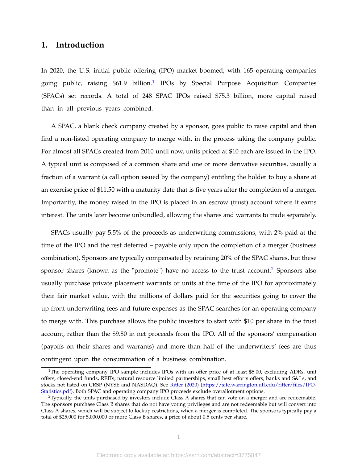## **1. Introduction**

In 2020, the U.S. initial public offering (IPO) market boomed, with 165 operating companies going public, raising \$6[1](#page-1-0).9 billion.<sup>1</sup> IPOs by Special Purpose Acquisition Companies (SPACs) set records. A total of 248 SPAC IPOs raised \$75.3 billion, more capital raised than in all previous years combined.

A SPAC, a blank check company created by a sponsor, goes public to raise capital and then find a non-listed operating company to merge with, in the process taking the company public. For almost all SPACs created from 2010 until now, units priced at \$10 each are issued in the IPO. A typical unit is composed of a common share and one or more derivative securities, usually a fraction of a warrant (a call option issued by the company) entitling the holder to buy a share at an exercise price of \$11.50 with a maturity date that is five years after the completion of a merger. Importantly, the money raised in the IPO is placed in an escrow (trust) account where it earns interest. The units later become unbundled, allowing the shares and warrants to trade separately.

SPACs usually pay 5.5% of the proceeds as underwriting commissions, with 2% paid at the time of the IPO and the rest deferred – payable only upon the completion of a merger (business combination). Sponsors are typically compensated by retaining 20% of the SPAC shares, but these sponsor shares (known as the "promote") have no access to the trust account.<sup>[2](#page-1-1)</sup> Sponsors also usually purchase private placement warrants or units at the time of the IPO for approximately their fair market value, with the millions of dollars paid for the securities going to cover the up-front underwriting fees and future expenses as the SPAC searches for an operating company to merge with. This purchase allows the public investors to start with \$10 per share in the trust account, rather than the \$9.80 in net proceeds from the IPO. All of the sponsors' compensation (payoffs on their shares and warrants) and more than half of the underwriters' fees are thus contingent upon the consummation of a business combination.

<span id="page-1-0"></span><sup>&</sup>lt;sup>1</sup>The operating company IPO sample includes IPOs with an offer price of at least \$5.00, excluding ADRs, unit offers, closed-end funds, REITs, natural resource limited partnerships, small best efforts offers, banks and S&Ls, and stocks not listed on CRSP (NYSE and NASDAQ). See [Ritter](#page-44-0) [\(2020\)](#page-44-0) [\(https://site.warrington.ufl.edu/ritter/files/IPO-](https://site.warrington.ufl.edu/ritter/files/IPO-Statistics.pdf)[Statistics.pdf\)](https://site.warrington.ufl.edu/ritter/files/IPO-Statistics.pdf). Both SPAC and operating company IPO proceeds exclude overallotment options.

<span id="page-1-1"></span> $2$ Typically, the units purchased by investors include Class A shares that can vote on a merger and are redeemable. The sponsors purchase Class B shares that do not have voting privileges and are not redeemable but will convert into Class A shares, which will be subject to lockup restrictions, when a merger is completed. The sponsors typically pay a total of \$25,000 for 5,000,000 or more Class B shares, a price of about 0.5 cents per share.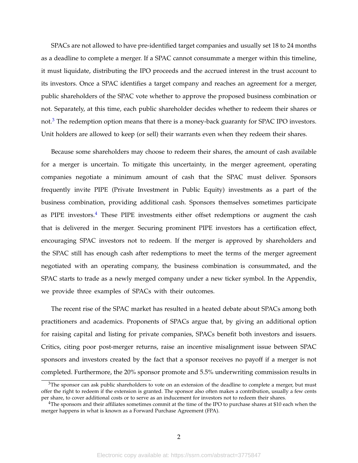SPACs are not allowed to have pre-identified target companies and usually set 18 to 24 months as a deadline to complete a merger. If a SPAC cannot consummate a merger within this timeline, it must liquidate, distributing the IPO proceeds and the accrued interest in the trust account to its investors. Once a SPAC identifies a target company and reaches an agreement for a merger, public shareholders of the SPAC vote whether to approve the proposed business combination or not. Separately, at this time, each public shareholder decides whether to redeem their shares or not.<sup>[3](#page-2-0)</sup> The redemption option means that there is a money-back guaranty for SPAC IPO investors. Unit holders are allowed to keep (or sell) their warrants even when they redeem their shares.

Because some shareholders may choose to redeem their shares, the amount of cash available for a merger is uncertain. To mitigate this uncertainty, in the merger agreement, operating companies negotiate a minimum amount of cash that the SPAC must deliver. Sponsors frequently invite PIPE (Private Investment in Public Equity) investments as a part of the business combination, providing additional cash. Sponsors themselves sometimes participate as PIPE investors.<sup>[4](#page-2-1)</sup> These PIPE investments either offset redemptions or augment the cash that is delivered in the merger. Securing prominent PIPE investors has a certification effect, encouraging SPAC investors not to redeem. If the merger is approved by shareholders and the SPAC still has enough cash after redemptions to meet the terms of the merger agreement negotiated with an operating company, the business combination is consummated, and the SPAC starts to trade as a newly merged company under a new ticker symbol. In the Appendix, we provide three examples of SPACs with their outcomes.

The recent rise of the SPAC market has resulted in a heated debate about SPACs among both practitioners and academics. Proponents of SPACs argue that, by giving an additional option for raising capital and listing for private companies, SPACs benefit both investors and issuers. Critics, citing poor post-merger returns, raise an incentive misalignment issue between SPAC sponsors and investors created by the fact that a sponsor receives no payoff if a merger is not completed. Furthermore, the 20% sponsor promote and 5.5% underwriting commission results in

<span id="page-2-0"></span> $3$ The sponsor can ask public shareholders to vote on an extension of the deadline to complete a merger, but must offer the right to redeem if the extension is granted. The sponsor also often makes a contribution, usually a few cents per share, to cover additional costs or to serve as an inducement for investors not to redeem their shares.

<span id="page-2-1"></span><sup>&</sup>lt;sup>4</sup>The sponsors and their affiliates sometimes commit at the time of the IPO to purchase shares at \$10 each when the merger happens in what is known as a Forward Purchase Agreement (FPA).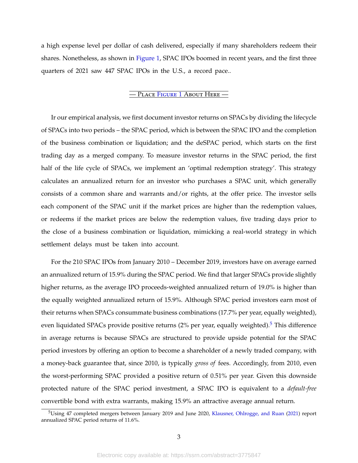a high expense level per dollar of cash delivered, especially if many shareholders redeem their shares. Nonetheless, as shown in [Figure 1,](#page-45-0) SPAC IPOs boomed in recent years, and the first three quarters of 2021 saw 447 SPAC IPOs in the U.S., a record pace..

#### — Place F[igure](#page-45-0) 1 About Here —

Ir our empirical analysis, we first document investor returns on SPACs by dividing the lifecycle of SPACs into two periods – the SPAC period, which is between the SPAC IPO and the completion of the business combination or liquidation; and the deSPAC period, which starts on the first trading day as a merged company. To measure investor returns in the SPAC period, the first half of the life cycle of SPACs, we implement an 'optimal redemption strategy'. This strategy calculates an annualized return for an investor who purchases a SPAC unit, which generally consists of a common share and warrants and/or rights, at the offer price. The investor sells each component of the SPAC unit if the market prices are higher than the redemption values, or redeems if the market prices are below the redemption values, five trading days prior to the close of a business combination or liquidation, mimicking a real-world strategy in which settlement delays must be taken into account.

For the 210 SPAC IPOs from January 2010 – December 2019, investors have on average earned an annualized return of 15.9% during the SPAC period. We find that larger SPACs provide slightly higher returns, as the average IPO proceeds-weighted annualized return of 19.0% is higher than the equally weighted annualized return of 15.9%. Although SPAC period investors earn most of their returns when SPACs consummate business combinations (17.7% per year, equally weighted), even liquidated SPACs provide positive returns (2% per year, equally weighted).<sup>[5](#page-3-0)</sup> This difference in average returns is because SPACs are structured to provide upside potential for the SPAC period investors by offering an option to become a shareholder of a newly traded company, with a money-back guarantee that, since 2010, is typically *gross of* fees. Accordingly, from 2010, even the worst-performing SPAC provided a positive return of 0.51% per year. Given this downside protected nature of the SPAC period investment, a SPAC IPO is equivalent to a *default-free* convertible bond with extra warrants, making 15.9% an attractive average annual return.

<span id="page-3-0"></span><sup>5</sup>Using 47 completed mergers between January 2019 and June 2020, [Klausner, Ohlrogge, and Ruan](#page-44-1) [\(2021\)](#page-44-1) report annualized SPAC period returns of 11.6%.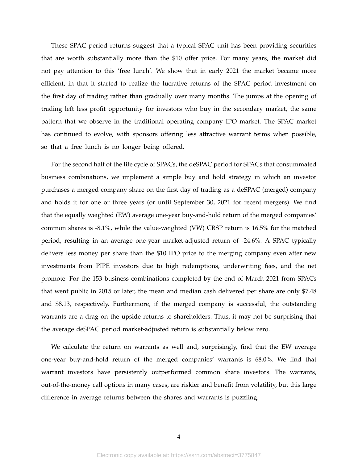These SPAC period returns suggest that a typical SPAC unit has been providing securities that are worth substantially more than the \$10 offer price. For many years, the market did not pay attention to this 'free lunch'. We show that in early 2021 the market became more efficient, in that it started to realize the lucrative returns of the SPAC period investment on the first day of trading rather than gradually over many months. The jumps at the opening of trading left less profit opportunity for investors who buy in the secondary market, the same pattern that we observe in the traditional operating company IPO market. The SPAC market has continued to evolve, with sponsors offering less attractive warrant terms when possible, so that a free lunch is no longer being offered.

For the second half of the life cycle of SPACs, the deSPAC period for SPACs that consummated business combinations, we implement a simple buy and hold strategy in which an investor purchases a merged company share on the first day of trading as a deSPAC (merged) company and holds it for one or three years (or until September 30, 2021 for recent mergers). We find that the equally weighted (EW) average one-year buy-and-hold return of the merged companies' common shares is -8.1%, while the value-weighted (VW) CRSP return is 16.5% for the matched period, resulting in an average one-year market-adjusted return of -24.6%. A SPAC typically delivers less money per share than the \$10 IPO price to the merging company even after new investments from PIPE investors due to high redemptions, underwriting fees, and the net promote. For the 153 business combinations completed by the end of March 2021 from SPACs that went public in 2015 or later, the mean and median cash delivered per share are only \$7.48 and \$8.13, respectively. Furthermore, if the merged company is successful, the outstanding warrants are a drag on the upside returns to shareholders. Thus, it may not be surprising that the average deSPAC period market-adjusted return is substantially below zero.

We calculate the return on warrants as well and, surprisingly, find that the EW average one-year buy-and-hold return of the merged companies' warrants is 68.0%. We find that warrant investors have persistently outperformed common share investors. The warrants, out-of-the-money call options in many cases, are riskier and benefit from volatility, but this large difference in average returns between the shares and warrants is puzzling.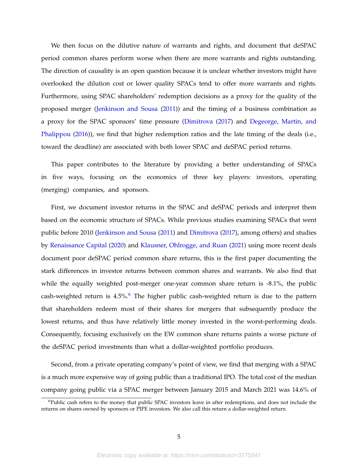We then focus on the dilutive nature of warrants and rights, and document that deSPAC period common shares perform worse when there are more warrants and rights outstanding. The direction of causality is an open question because it is unclear whether investors might have overlooked the dilution cost or lower quality SPACs tend to offer more warrants and rights. Furthermore, using SPAC shareholders' redemption decisions as a proxy for the quality of the proposed merger [\(Jenkinson and Sousa](#page-44-2) [\(2011\)](#page-44-2)) and the timing of a business combination as a proxy for the SPAC sponsors' time pressure [\(Dimitrova](#page-43-0) [\(2017\)](#page-43-0) and [Degeorge, Martin, and](#page-43-1) [Phalippou](#page-43-1) [\(2016\)](#page-43-1)), we find that higher redemption ratios and the late timing of the deals (i.e., toward the deadline) are associated with both lower SPAC and deSPAC period returns.

This paper contributes to the literature by providing a better understanding of SPACs in five ways, focusing on the economics of three key players: investors, operating (merging) companies, and sponsors.

First, we document investor returns in the SPAC and deSPAC periods and interpret them based on the economic structure of SPACs. While previous studies examining SPACs that went public before 2010 [\(Jenkinson and Sousa](#page-44-2) [\(2011\)](#page-44-2) and [Dimitrova](#page-43-0) [\(2017\)](#page-43-0), among others) and studies by [Renaissance Capital](#page-44-3) [\(2020\)](#page-44-3) and [Klausner, Ohlrogge, and Ruan](#page-44-1) [\(2021\)](#page-44-1) using more recent deals document poor deSPAC period common share returns, this is the first paper documenting the stark differences in investor returns between common shares and warrants. We also find that while the equally weighted post-merger one-year common share return is -8.1%, the public cash-weighted return is  $4.5\%$ .<sup>[6](#page-5-0)</sup> The higher public cash-weighted return is due to the pattern that shareholders redeem most of their shares for mergers that subsequently produce the lowest returns, and thus have relatively little money invested in the worst-performing deals. Consequently, focusing exclusively on the EW common share returns paints a worse picture of the deSPAC period investments than what a dollar-weighted portfolio produces.

Second, from a private operating company's point of view, we find that merging with a SPAC is a much more expensive way of going public than a traditional IPO. The total cost of the median company going public via a SPAC merger between January 2015 and March 2021 was 14.6% of

<span id="page-5-0"></span> $6P$ ublic cash refers to the money that public SPAC investors leave in after redemptions, and does not include the returns on shares owned by sponsors or PIPE investors. We also call this return a dollar-weighted return.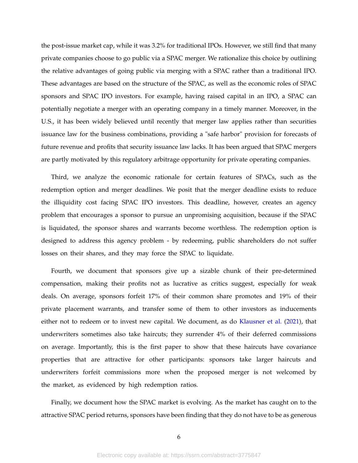the post-issue market cap, while it was 3.2% for traditional IPOs. However, we still find that many private companies choose to go public via a SPAC merger. We rationalize this choice by outlining the relative advantages of going public via merging with a SPAC rather than a traditional IPO. These advantages are based on the structure of the SPAC, as well as the economic roles of SPAC sponsors and SPAC IPO investors. For example, having raised capital in an IPO, a SPAC can potentially negotiate a merger with an operating company in a timely manner. Moreover, in the U.S., it has been widely believed until recently that merger law applies rather than securities issuance law for the business combinations, providing a "safe harbor" provision for forecasts of future revenue and profits that security issuance law lacks. It has been argued that SPAC mergers are partly motivated by this regulatory arbitrage opportunity for private operating companies.

Third, we analyze the economic rationale for certain features of SPACs, such as the redemption option and merger deadlines. We posit that the merger deadline exists to reduce the illiquidity cost facing SPAC IPO investors. This deadline, however, creates an agency problem that encourages a sponsor to pursue an unpromising acquisition, because if the SPAC is liquidated, the sponsor shares and warrants become worthless. The redemption option is designed to address this agency problem - by redeeming, public shareholders do not suffer losses on their shares, and they may force the SPAC to liquidate.

Fourth, we document that sponsors give up a sizable chunk of their pre-determined compensation, making their profits not as lucrative as critics suggest, especially for weak deals. On average, sponsors forfeit 17% of their common share promotes and 19% of their private placement warrants, and transfer some of them to other investors as inducements either not to redeem or to invest new capital. We document, as do [Klausner et al.](#page-44-1) [\(2021\)](#page-44-1), that underwriters sometimes also take haircuts; they surrender 4% of their deferred commissions on average. Importantly, this is the first paper to show that these haircuts have covariance properties that are attractive for other participants: sponsors take larger haircuts and underwriters forfeit commissions more when the proposed merger is not welcomed by the market, as evidenced by high redemption ratios.

Finally, we document how the SPAC market is evolving. As the market has caught on to the attractive SPAC period returns, sponsors have been finding that they do not have to be as generous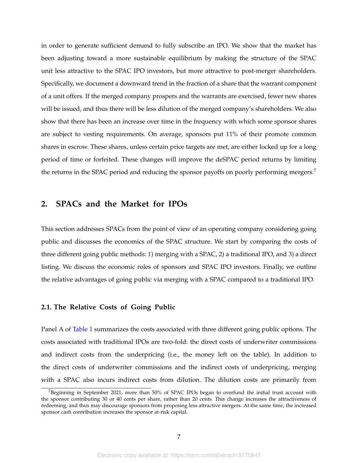in order to generate sufficient demand to fully subscribe an IPO. We show that the market has been adjusting toward a more sustainable equilibrium by making the structure of the SPAC unit less attractive to the SPAC IPO investors, but more attractive to post-merger shareholders. Specifically, we document a downward trend in the fraction of a share that the warrant component of a unit offers. If the merged company prospers and the warrants are exercised, fewer new shares will be issued, and thus there will be less dilution of the merged company's shareholders. We also show that there has been an increase over time in the frequency with which some sponsor shares are subject to vesting requirements. On average, sponsors put 11% of their promote common shares in escrow. These shares, unless certain price targets are met, are either locked up for a long period of time or forfeited. These changes will improve the deSPAC period returns by limiting the returns in the SPAC period and reducing the sponsor payoffs on poorly performing mergers.<sup>[7](#page-7-0)</sup>

## <span id="page-7-1"></span>**2. SPACs and the Market for IPOs**

This section addresses SPACs from the point of view of an operating company considering going public and discusses the economics of the SPAC structure. We start by comparing the costs of three different going public methods: 1) merging with a SPAC, 2) a traditional IPO, and 3) a direct listing. We discuss the economic roles of sponsors and SPAC IPO investors. Finally, we outline the relative advantages of going public via merging with a SPAC compared to a traditional IPO.

#### **2.1. The Relative Costs of Going Public**

Panel A of [Table 1](#page-48-0) summarizes the costs associated with three different going public options. The costs associated with traditional IPOs are two-fold: the direct costs of underwriter commissions and indirect costs from the underpricing (i.e., the money left on the table). In addition to the direct costs of underwriter commissions and the indirect costs of underpricing, merging with a SPAC also incurs indirect costs from dilution. The dilution costs are primarily from

<span id="page-7-0"></span><sup>7</sup>Beginning in September 2021, more than 50% of SPAC IPOs began to overfund the initial trust account with the sponsor contributing 30 or 40 cents per share, rather than 20 cents. This change increases the attractiveness of redeeming, and thus may discourage sponsors from proposing less attractive mergers. At the same time, the increased sponsor cash contribution increases the sponsor at-risk capital.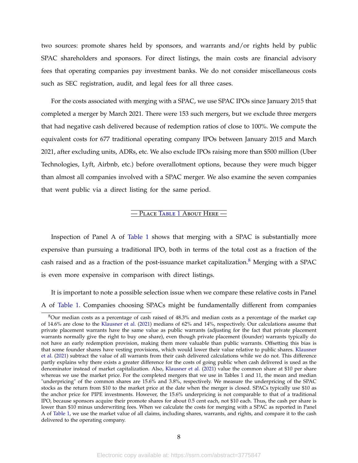two sources: promote shares held by sponsors, and warrants and/or rights held by public SPAC shareholders and sponsors. For direct listings, the main costs are financial advisory fees that operating companies pay investment banks. We do not consider miscellaneous costs such as SEC registration, audit, and legal fees for all three cases.

For the costs associated with merging with a SPAC, we use SPAC IPOs since January 2015 that completed a merger by March 2021. There were 153 such mergers, but we exclude three mergers that had negative cash delivered because of redemption ratios of close to 100%. We compute the equivalent costs for 677 traditional operating company IPOs between January 2015 and March 2021, after excluding units, ADRs, etc. We also exclude IPOs raising more than \$500 million (Uber Technologies, Lyft, Airbnb, etc.) before overallotment options, because they were much bigger than almost all companies involved with a SPAC merger. We also examine the seven companies that went public via a direct listing for the same period.

### — Place T[able](#page-48-0) 1 About Here —

Inspection of Panel A of [Table 1](#page-48-0) shows that merging with a SPAC is substantially more expensive than pursuing a traditional IPO, both in terms of the total cost as a fraction of the cash raised and as a fraction of the post-issuance market capitalization.<sup>[8](#page-8-0)</sup> Merging with a SPAC is even more expensive in comparison with direct listings.

It is important to note a possible selection issue when we compare these relative costs in Panel A of [Table 1.](#page-48-0) Companies choosing SPACs might be fundamentally different from companies

<span id="page-8-0"></span><sup>8</sup>Our median costs as a percentage of cash raised of 48.3% and median costs as a percentage of the market cap of 14.6% are close to the [Klausner et al.](#page-44-1) [\(2021\)](#page-44-1) medians of 62% and 14%, respectively. Our calculations assume that private placement warrants have the same value as public warrants (adjusting for the fact that private placement warrants normally give the right to buy one share), even though private placement (founder) warrants typically do not have an early redemption provision, making them more valuable than public warrants. Offsetting this bias is that some founder shares have vesting provisions, which would lower their value relative to public shares. [Klausner](#page-44-1) [et al.](#page-44-1) [\(2021\)](#page-44-1) subtract the value of all warrants from their cash delivered calculations while we do not. This difference partly explains why there exists a greater difference for the costs of going public when cash delivered is used as the denominator instead of market capitalization. Also, [Klausner et al.](#page-44-1) [\(2021\)](#page-44-1) value the common share at \$10 per share whereas we use the market price. For the completed mergers that we use in Tables 1 and 11, the mean and median "underpricing" of the common shares are 15.6% and 3.8%, respectively. We measure the underpricing of the SPAC stocks as the return from \$10 to the market price at the date when the merger is closed. SPACs typically use \$10 as the anchor price for PIPE investments. However, the 15.6% underpricing is not comparable to that of a traditional IPO, because sponsors acquire their promote shares for about 0.5 cent each, not \$10 each. Thus, the cash per share is lower than \$10 minus underwriting fees. When we calculate the costs for merging with a SPAC as reported in Panel A of [Table 1,](#page-48-0) we use the market value of all claims, including shares, warrants, and rights, and compare it to the cash delivered to the operating company.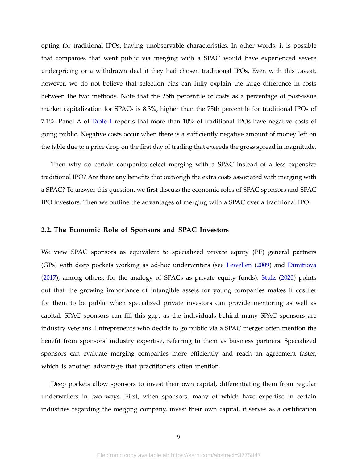opting for traditional IPOs, having unobservable characteristics. In other words, it is possible that companies that went public via merging with a SPAC would have experienced severe underpricing or a withdrawn deal if they had chosen traditional IPOs. Even with this caveat, however, we do not believe that selection bias can fully explain the large difference in costs between the two methods. Note that the 25th percentile of costs as a percentage of post-issue market capitalization for SPACs is 8.3%, higher than the 75th percentile for traditional IPOs of 7.1%. Panel A of [Table 1](#page-48-0) reports that more than 10% of traditional IPOs have negative costs of going public. Negative costs occur when there is a sufficiently negative amount of money left on the table due to a price drop on the first day of trading that exceeds the gross spread in magnitude.

Then why do certain companies select merging with a SPAC instead of a less expensive traditional IPO? Are there any benefits that outweigh the extra costs associated with merging with a SPAC? To answer this question, we first discuss the economic roles of SPAC sponsors and SPAC IPO investors. Then we outline the advantages of merging with a SPAC over a traditional IPO.

#### **2.2. The Economic Role of Sponsors and SPAC Investors**

We view SPAC sponsors as equivalent to specialized private equity (PE) general partners (GPs) with deep pockets working as ad-hoc underwriters (see [Lewellen](#page-44-4) [\(2009\)](#page-44-4) and [Dimitrova](#page-43-0) [\(2017\)](#page-43-0), among others, for the analogy of SPACs as private equity funds). [Stulz](#page-44-5) [\(2020\)](#page-44-5) points out that the growing importance of intangible assets for young companies makes it costlier for them to be public when specialized private investors can provide mentoring as well as capital. SPAC sponsors can fill this gap, as the individuals behind many SPAC sponsors are industry veterans. Entrepreneurs who decide to go public via a SPAC merger often mention the benefit from sponsors' industry expertise, referring to them as business partners. Specialized sponsors can evaluate merging companies more efficiently and reach an agreement faster, which is another advantage that practitioners often mention.

Deep pockets allow sponsors to invest their own capital, differentiating them from regular underwriters in two ways. First, when sponsors, many of which have expertise in certain industries regarding the merging company, invest their own capital, it serves as a certification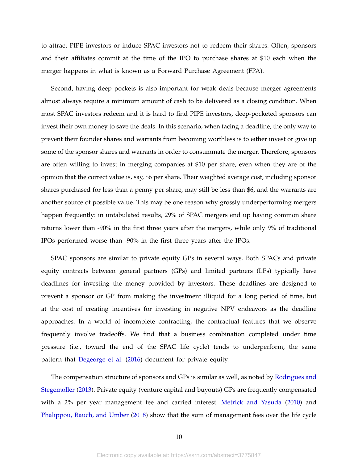to attract PIPE investors or induce SPAC investors not to redeem their shares. Often, sponsors and their affiliates commit at the time of the IPO to purchase shares at \$10 each when the merger happens in what is known as a Forward Purchase Agreement (FPA).

Second, having deep pockets is also important for weak deals because merger agreements almost always require a minimum amount of cash to be delivered as a closing condition. When most SPAC investors redeem and it is hard to find PIPE investors, deep-pocketed sponsors can invest their own money to save the deals. In this scenario, when facing a deadline, the only way to prevent their founder shares and warrants from becoming worthless is to either invest or give up some of the sponsor shares and warrants in order to consummate the merger. Therefore, sponsors are often willing to invest in merging companies at \$10 per share, even when they are of the opinion that the correct value is, say, \$6 per share. Their weighted average cost, including sponsor shares purchased for less than a penny per share, may still be less than \$6, and the warrants are another source of possible value. This may be one reason why grossly underperforming mergers happen frequently: in untabulated results, 29% of SPAC mergers end up having common share returns lower than -90% in the first three years after the mergers, while only 9% of traditional IPOs performed worse than -90% in the first three years after the IPOs.

SPAC sponsors are similar to private equity GPs in several ways. Both SPACs and private equity contracts between general partners (GPs) and limited partners (LPs) typically have deadlines for investing the money provided by investors. These deadlines are designed to prevent a sponsor or GP from making the investment illiquid for a long period of time, but at the cost of creating incentives for investing in negative NPV endeavors as the deadline approaches. In a world of incomplete contracting, the contractual features that we observe frequently involve tradeoffs. We find that a business combination completed under time pressure (i.e., toward the end of the SPAC life cycle) tends to underperform, the same pattern that [Degeorge et al.](#page-43-1) [\(2016\)](#page-43-1) document for private equity.

The compensation structure of sponsors and GPs is similar as well, as noted by [Rodrigues and](#page-44-6) [Stegemoller](#page-44-6) [\(2013\)](#page-44-6). Private equity (venture capital and buyouts) GPs are frequently compensated with a 2% per year management fee and carried interest. [Metrick and Yasuda](#page-44-7) [\(2010\)](#page-44-7) and [Phalippou, Rauch, and Umber](#page-44-8) [\(2018\)](#page-44-8) show that the sum of management fees over the life cycle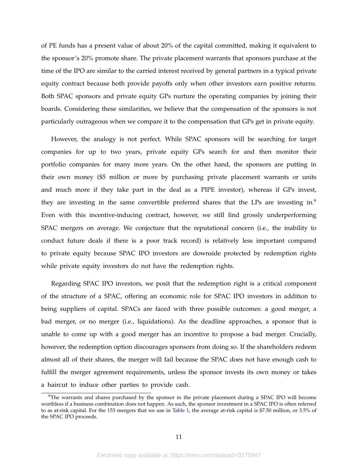of PE funds has a present value of about 20% of the capital committed, making it equivalent to the sponsor's 20% promote share. The private placement warrants that sponsors purchase at the time of the IPO are similar to the carried interest received by general partners in a typical private equity contract because both provide payoffs only when other investors earn positive returns. Both SPAC sponsors and private equity GPs nurture the operating companies by joining their boards. Considering these similarities, we believe that the compensation of the sponsors is not particularly outrageous when we compare it to the compensation that GPs get in private equity.

However, the analogy is not perfect. While SPAC sponsors will be searching for target companies for up to two years, private equity GPs search for and then monitor their portfolio companies for many more years. On the other hand, the sponsors are putting in their own money (\$5 million or more by purchasing private placement warrants or units and much more if they take part in the deal as a PIPE investor), whereas if GPs invest, they are investing in the same convertible preferred shares that the LPs are investing in. $9$ Even with this incentive-inducing contract, however, we still find grossly underperforming SPAC mergers on average. We conjecture that the reputational concern (i.e., the inability to conduct future deals if there is a poor track record) is relatively less important compared to private equity because SPAC IPO investors are downside protected by redemption rights while private equity investors do not have the redemption rights.

Regarding SPAC IPO investors, we posit that the redemption right is a critical component of the structure of a SPAC, offering an economic role for SPAC IPO investors in addition to being suppliers of capital. SPACs are faced with three possible outcomes: a good merger, a bad merger, or no merger (i.e., liquidations). As the deadline approaches, a sponsor that is unable to come up with a good merger has an incentive to propose a bad merger. Crucially, however, the redemption option discourages sponsors from doing so. If the shareholders redeem almost all of their shares, the merger will fail because the SPAC does not have enough cash to fulfill the merger agreement requirements, unless the sponsor invests its own money or takes a haircut to induce other parties to provide cash.

<span id="page-11-0"></span><sup>&</sup>lt;sup>9</sup>The warrants and shares purchased by the sponsor in the private placement during a SPAC IPO will become worthless if a business combination does not happen. As such, the sponsor investment in a SPAC IPO is often referred to as at-risk capital. For the 153 mergers that we use in [Table 1,](#page-48-0) the average at-risk capital is \$7.50 million, or 3.5% of the SPAC IPO proceeds.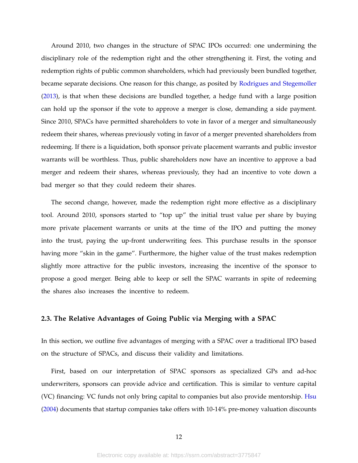Around 2010, two changes in the structure of SPAC IPOs occurred: one undermining the disciplinary role of the redemption right and the other strengthening it. First, the voting and redemption rights of public common shareholders, which had previously been bundled together, became separate decisions. One reason for this change, as posited by [Rodrigues and Stegemoller](#page-44-6) [\(2013\)](#page-44-6), is that when these decisions are bundled together, a hedge fund with a large position can hold up the sponsor if the vote to approve a merger is close, demanding a side payment. Since 2010, SPACs have permitted shareholders to vote in favor of a merger and simultaneously redeem their shares, whereas previously voting in favor of a merger prevented shareholders from redeeming. If there is a liquidation, both sponsor private placement warrants and public investor warrants will be worthless. Thus, public shareholders now have an incentive to approve a bad merger and redeem their shares, whereas previously, they had an incentive to vote down a bad merger so that they could redeem their shares.

The second change, however, made the redemption right more effective as a disciplinary tool. Around 2010, sponsors started to "top up" the initial trust value per share by buying more private placement warrants or units at the time of the IPO and putting the money into the trust, paying the up-front underwriting fees. This purchase results in the sponsor having more "skin in the game". Furthermore, the higher value of the trust makes redemption slightly more attractive for the public investors, increasing the incentive of the sponsor to propose a good merger. Being able to keep or sell the SPAC warrants in spite of redeeming the shares also increases the incentive to redeem.

#### **2.3. The Relative Advantages of Going Public via Merging with a SPAC**

In this section, we outline five advantages of merging with a SPAC over a traditional IPO based on the structure of SPACs, and discuss their validity and limitations.

First, based on our interpretation of SPAC sponsors as specialized GPs and ad-hoc underwriters, sponsors can provide advice and certification. This is similar to venture capital (VC) financing: VC funds not only bring capital to companies but also provide mentorship. [Hsu](#page-44-9) [\(2004\)](#page-44-9) documents that startup companies take offers with 10-14% pre-money valuation discounts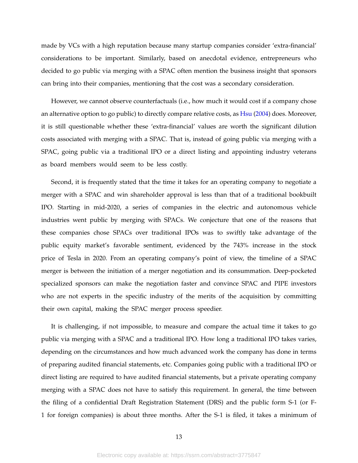made by VCs with a high reputation because many startup companies consider 'extra-financial' considerations to be important. Similarly, based on anecdotal evidence, entrepreneurs who decided to go public via merging with a SPAC often mention the business insight that sponsors can bring into their companies, mentioning that the cost was a secondary consideration.

However, we cannot observe counterfactuals (i.e., how much it would cost if a company chose an alternative option to go public) to directly compare relative costs, as [Hsu](#page-44-9) [\(2004\)](#page-44-9) does. Moreover, it is still questionable whether these 'extra-financial' values are worth the significant dilution costs associated with merging with a SPAC. That is, instead of going public via merging with a SPAC, going public via a traditional IPO or a direct listing and appointing industry veterans as board members would seem to be less costly.

Second, it is frequently stated that the time it takes for an operating company to negotiate a merger with a SPAC and win shareholder approval is less than that of a traditional bookbuilt IPO. Starting in mid-2020, a series of companies in the electric and autonomous vehicle industries went public by merging with SPACs. We conjecture that one of the reasons that these companies chose SPACs over traditional IPOs was to swiftly take advantage of the public equity market's favorable sentiment, evidenced by the 743% increase in the stock price of Tesla in 2020. From an operating company's point of view, the timeline of a SPAC merger is between the initiation of a merger negotiation and its consummation. Deep-pocketed specialized sponsors can make the negotiation faster and convince SPAC and PIPE investors who are not experts in the specific industry of the merits of the acquisition by committing their own capital, making the SPAC merger process speedier.

It is challenging, if not impossible, to measure and compare the actual time it takes to go public via merging with a SPAC and a traditional IPO. How long a traditional IPO takes varies, depending on the circumstances and how much advanced work the company has done in terms of preparing audited financial statements, etc. Companies going public with a traditional IPO or direct listing are required to have audited financial statements, but a private operating company merging with a SPAC does not have to satisfy this requirement. In general, the time between the filing of a confidential Draft Registration Statement (DRS) and the public form S-1 (or F-1 for foreign companies) is about three months. After the S-1 is filed, it takes a minimum of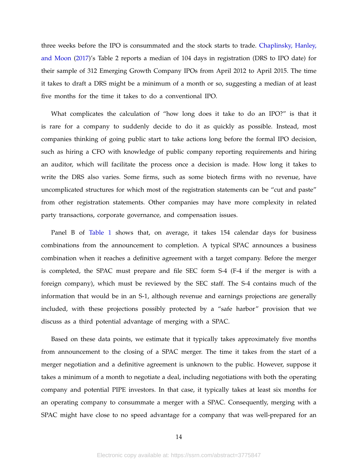three weeks before the IPO is consummated and the stock starts to trade. [Chaplinsky, Hanley,](#page-43-2) [and Moon](#page-43-2) [\(2017\)](#page-43-2)'s Table 2 reports a median of 104 days in registration (DRS to IPO date) for their sample of 312 Emerging Growth Company IPOs from April 2012 to April 2015. The time it takes to draft a DRS might be a minimum of a month or so, suggesting a median of at least five months for the time it takes to do a conventional IPO.

What complicates the calculation of "how long does it take to do an IPO?" is that it is rare for a company to suddenly decide to do it as quickly as possible. Instead, most companies thinking of going public start to take actions long before the formal IPO decision, such as hiring a CFO with knowledge of public company reporting requirements and hiring an auditor, which will facilitate the process once a decision is made. How long it takes to write the DRS also varies. Some firms, such as some biotech firms with no revenue, have uncomplicated structures for which most of the registration statements can be "cut and paste" from other registration statements. Other companies may have more complexity in related party transactions, corporate governance, and compensation issues.

Panel B of [Table 1](#page-48-0) shows that, on average, it takes 154 calendar days for business combinations from the announcement to completion. A typical SPAC announces a business combination when it reaches a definitive agreement with a target company. Before the merger is completed, the SPAC must prepare and file SEC form S-4 (F-4 if the merger is with a foreign company), which must be reviewed by the SEC staff. The S-4 contains much of the information that would be in an S-1, although revenue and earnings projections are generally included, with these projections possibly protected by a "safe harbor" provision that we discuss as a third potential advantage of merging with a SPAC.

Based on these data points, we estimate that it typically takes approximately five months from announcement to the closing of a SPAC merger. The time it takes from the start of a merger negotiation and a definitive agreement is unknown to the public. However, suppose it takes a minimum of a month to negotiate a deal, including negotiations with both the operating company and potential PIPE investors. In that case, it typically takes at least six months for an operating company to consummate a merger with a SPAC. Consequently, merging with a SPAC might have close to no speed advantage for a company that was well-prepared for an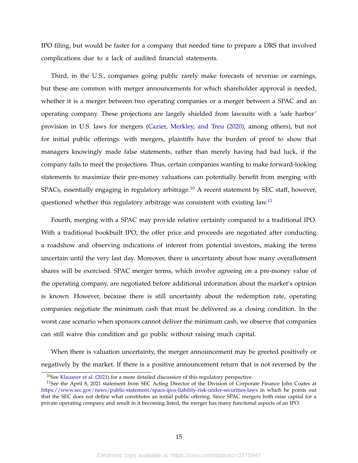IPO filing, but would be faster for a company that needed time to prepare a DRS that involved complications due to a lack of audited financial statements.

Third, in the U.S., companies going public rarely make forecasts of revenue or earnings, but these are common with merger announcements for which shareholder approval is needed, whether it is a merger between two operating companies or a merger between a SPAC and an operating company. These projections are largely shielded from lawsuits with a 'safe harbor' provision in U.S. laws for mergers [\(Cazier, Merkley, and Treu](#page-43-3) [\(2020\)](#page-43-3), among others), but not for initial public offerings: with mergers, plaintiffs have the burden of proof to show that managers knowingly made false statements, rather than merely having had bad luck, if the company fails to meet the projections. Thus, certain companies wanting to make forward-looking statements to maximize their pre-money valuations can potentially benefit from merging with SPACs, essentially engaging in regulatory arbitrage.<sup>[10](#page-15-0)</sup> A recent statement by SEC staff, however, questioned whether this regulatory arbitrage was consistent with existing law.<sup>[11](#page-15-1)</sup>

Fourth, merging with a SPAC may provide relative certainty compared to a traditional IPO. With a traditional bookbuilt IPO, the offer price and proceeds are negotiated after conducting a roadshow and observing indications of interest from potential investors, making the terms uncertain until the very last day. Moreover, there is uncertainty about how many overallotment shares will be exercised. SPAC merger terms, which involve agreeing on a pre-money value of the operating company, are negotiated before additional information about the market's opinion is known. However, because there is still uncertainty about the redemption rate, operating companies negotiate the minimum cash that must be delivered as a closing condition. In the worst case scenario when sponsors cannot deliver the minimum cash, we observe that companies can still waive this condition and go public without raising much capital.

When there is valuation uncertainty, the merger announcement may be greeted positively or negatively by the market. If there is a positive announcement return that is not reversed by the

<span id="page-15-1"></span><span id="page-15-0"></span><sup>&</sup>lt;sup>10</sup>See [Klausner et al.](#page-44-1) [\(2021\)](#page-44-1) for a more detailed discussion of this regulatory perspective.

<sup>&</sup>lt;sup>11</sup>See the April 8, 2021 statement from SEC Acting Director of the Division of Corporate Finance John Coates at <https://www.sec.gov/news/public-statement/spacs-ipos-liability-risk-under-securities-laws> in which he points out that the SEC does not define what constitutes an initial public offering. Since SPAC mergers both raise capital for a private operating company and result in it becoming listed, the merger has many functional aspects of an IPO.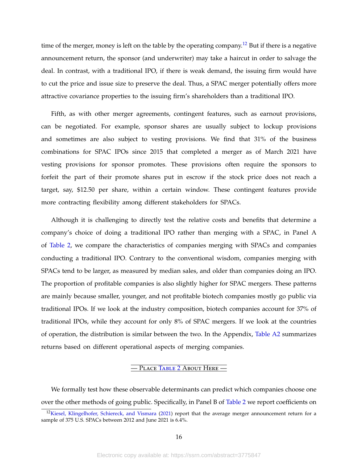time of the merger, money is left on the table by the operating company.<sup>[12](#page-16-0)</sup> But if there is a negative announcement return, the sponsor (and underwriter) may take a haircut in order to salvage the deal. In contrast, with a traditional IPO, if there is weak demand, the issuing firm would have to cut the price and issue size to preserve the deal. Thus, a SPAC merger potentially offers more attractive covariance properties to the issuing firm's shareholders than a traditional IPO.

Fifth, as with other merger agreements, contingent features, such as earnout provisions, can be negotiated. For example, sponsor shares are usually subject to lockup provisions and sometimes are also subject to vesting provisions. We find that 31% of the business combinations for SPAC IPOs since 2015 that completed a merger as of March 2021 have vesting provisions for sponsor promotes. These provisions often require the sponsors to forfeit the part of their promote shares put in escrow if the stock price does not reach a target, say, \$12.50 per share, within a certain window. These contingent features provide more contracting flexibility among different stakeholders for SPACs.

Although it is challenging to directly test the relative costs and benefits that determine a company's choice of doing a traditional IPO rather than merging with a SPAC, in Panel A of [Table 2,](#page-49-0) we compare the characteristics of companies merging with SPACs and companies conducting a traditional IPO. Contrary to the conventional wisdom, companies merging with SPACs tend to be larger, as measured by median sales, and older than companies doing an IPO. The proportion of profitable companies is also slightly higher for SPAC mergers. These patterns are mainly because smaller, younger, and not profitable biotech companies mostly go public via traditional IPOs. If we look at the industry composition, biotech companies account for 37% of traditional IPOs, while they account for only 8% of SPAC mergers. If we look at the countries of operation, the distribution is similar between the two. In the Appendix, [Table A2](#page-67-0) summarizes returns based on different operational aspects of merging companies.

## — Place T[able](#page-49-0) 2 About Here —

We formally test how these observable determinants can predict which companies choose one over the other methods of going public. Specifically, in Panel B of [Table 2](#page-49-0) we report coefficients on

<span id="page-16-0"></span> $12$ [Kiesel, Klingelhofer, Schiereck, and Vismara](#page-44-10) [\(2021\)](#page-44-10) report that the average merger announcement return for a sample of 375 U.S. SPACs between 2012 and June 2021 is 6.4%.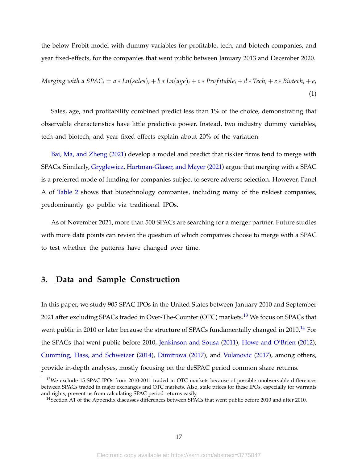the below Probit model with dummy variables for profitable, tech, and biotech companies, and year fixed-effects, for the companies that went public between January 2013 and December 2020.

<span id="page-17-2"></span>
$$
Merging with a SPACi = a * Ln(sales)i + b * Ln(age)i + c * Profitablei + d * Techi + e * Biotechni + ei
$$
\n(1)

Sales, age, and profitability combined predict less than 1% of the choice, demonstrating that observable characteristics have little predictive power. Instead, two industry dummy variables, tech and biotech, and year fixed effects explain about 20% of the variation.

[Bai, Ma, and Zheng](#page-43-4) [\(2021\)](#page-43-4) develop a model and predict that riskier firms tend to merge with SPACs. Similarly, [Gryglewicz, Hartman-Glaser, and Mayer](#page-43-5) [\(2021\)](#page-43-5) argue that merging with a SPAC is a preferred mode of funding for companies subject to severe adverse selection. However, Panel A of [Table 2](#page-49-0) shows that biotechnology companies, including many of the riskiest companies, predominantly go public via traditional IPOs.

As of November 2021, more than 500 SPACs are searching for a merger partner. Future studies with more data points can revisit the question of which companies choose to merge with a SPAC to test whether the patterns have changed over time.

## **3. Data and Sample Construction**

In this paper, we study 905 SPAC IPOs in the United States between January 2010 and September 2021 after excluding SPACs traded in Over-The-Counter (OTC) markets.<sup>[13](#page-17-0)</sup> We focus on SPACs that went public in 2010 or later because the structure of SPACs fundamentally changed in 2010.<sup>[14](#page-17-1)</sup> For the SPACs that went public before 2010, [Jenkinson and Sousa](#page-44-2) [\(2011\)](#page-44-2), [Howe and O'Brien](#page-43-6) [\(2012\)](#page-43-6), [Cumming, Hass, and Schweizer](#page-43-7) [\(2014\)](#page-43-7), [Dimitrova](#page-43-0) [\(2017\)](#page-43-0), and [Vulanovic](#page-44-11) [\(2017\)](#page-44-11), among others, provide in-depth analyses, mostly focusing on the deSPAC period common share returns.

<span id="page-17-0"></span><sup>&</sup>lt;sup>13</sup>We exclude 15 SPAC IPOs from 2010-2011 traded in OTC markets because of possible unobservable differences between SPACs traded in major exchanges and OTC markets. Also, stale prices for these IPOs, especially for warrants and rights, prevent us from calculating SPAC period returns easily.

<span id="page-17-1"></span><sup>&</sup>lt;sup>14</sup>Section A1 of the Appendix discusses differences between SPACs that went public before 2010 and after 2010.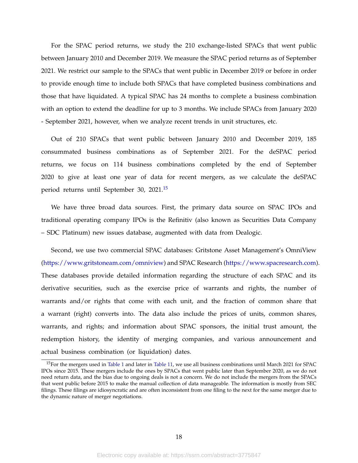For the SPAC period returns, we study the 210 exchange-listed SPACs that went public between January 2010 and December 2019. We measure the SPAC period returns as of September 2021. We restrict our sample to the SPACs that went public in December 2019 or before in order to provide enough time to include both SPACs that have completed business combinations and those that have liquidated. A typical SPAC has 24 months to complete a business combination with an option to extend the deadline for up to 3 months. We include SPACs from January 2020 - September 2021, however, when we analyze recent trends in unit structures, etc.

Out of 210 SPACs that went public between January 2010 and December 2019, 185 consummated business combinations as of September 2021. For the deSPAC period returns, we focus on 114 business combinations completed by the end of September 2020 to give at least one year of data for recent mergers, as we calculate the deSPAC period returns until September 30, 2021.[15](#page-18-0)

We have three broad data sources. First, the primary data source on SPAC IPOs and traditional operating company IPOs is the Refinitiv (also known as Securities Data Company – SDC Platinum) new issues database, augmented with data from Dealogic.

Second, we use two commercial SPAC databases: Gritstone Asset Management's OmniView [\(https://www.gritstoneam.com/omniview\)](https://www.gritstoneam.com/omniview) and SPAC Research [\(https://www.spacresearch.com\)](https://www.spacresearch.com/). These databases provide detailed information regarding the structure of each SPAC and its derivative securities, such as the exercise price of warrants and rights, the number of warrants and/or rights that come with each unit, and the fraction of common share that a warrant (right) converts into. The data also include the prices of units, common shares, warrants, and rights; and information about SPAC sponsors, the initial trust amount, the redemption history, the identity of merging companies, and various announcement and actual business combination (or liquidation) dates.

<span id="page-18-0"></span><sup>&</sup>lt;sup>15</sup>For the mergers used in [Table 1](#page-48-0) and later in [Table 11,](#page-57-0) we use all business combinations until March 2021 for SPAC IPOs since 2015. These mergers include the ones by SPACs that went public later than September 2020, as we do not need return data, and the bias due to ongoing deals is not a concern. We do not include the mergers from the SPACs that went public before 2015 to make the manual collection of data manageable. The information is mostly from SEC filings. These filings are idiosyncratic and are often inconsistent from one filing to the next for the same merger due to the dynamic nature of merger negotiations.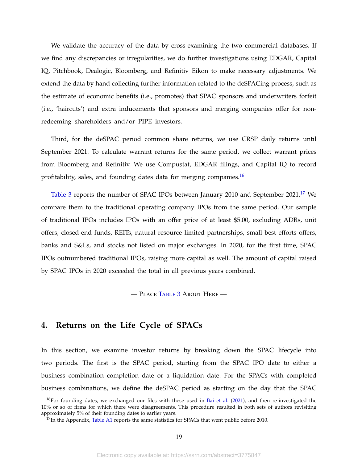We validate the accuracy of the data by cross-examining the two commercial databases. If we find any discrepancies or irregularities, we do further investigations using EDGAR, Capital IQ, Pitchbook, Dealogic, Bloomberg, and Refinitiv Eikon to make necessary adjustments. We extend the data by hand collecting further information related to the deSPACing process, such as the estimate of economic benefits (i.e., promotes) that SPAC sponsors and underwriters forfeit (i.e., 'haircuts') and extra inducements that sponsors and merging companies offer for nonredeeming shareholders and/or PIPE investors.

Third, for the deSPAC period common share returns, we use CRSP daily returns until September 2021. To calculate warrant returns for the same period, we collect warrant prices from Bloomberg and Refinitiv. We use Compustat, EDGAR filings, and Capital IQ to record profitability, sales, and founding dates data for merging companies.<sup>[16](#page-19-0)</sup>

[Table 3](#page-50-0) reports the number of SPAC IPOs between January 2010 and September 2021.<sup>[17](#page-19-1)</sup> We compare them to the traditional operating company IPOs from the same period. Our sample of traditional IPOs includes IPOs with an offer price of at least \$5.00, excluding ADRs, unit offers, closed-end funds, REITs, natural resource limited partnerships, small best efforts offers, banks and S&Ls, and stocks not listed on major exchanges. In 2020, for the first time, SPAC IPOs outnumbered traditional IPOs, raising more capital as well. The amount of capital raised by SPAC IPOs in 2020 exceeded the total in all previous years combined.

#### — Place T[able](#page-50-0) 3 About Here —

## **4. Returns on the Life Cycle of SPACs**

In this section, we examine investor returns by breaking down the SPAC lifecycle into two periods. The first is the SPAC period, starting from the SPAC IPO date to either a business combination completion date or a liquidation date. For the SPACs with completed business combinations, we define the deSPAC period as starting on the day that the SPAC

<span id="page-19-0"></span> $16$ For founding dates, we exchanged our files with these used in [Bai et al.](#page-43-4) [\(2021\)](#page-43-4), and then re-investigated the 10% or so of firms for which there were disagreements. This procedure resulted in both sets of authors revisiting approximately 5% of their founding dates to earlier years.

<span id="page-19-1"></span> $17$ In the Appendix, [Table A1](#page-66-0) reports the same statistics for SPACs that went public before 2010.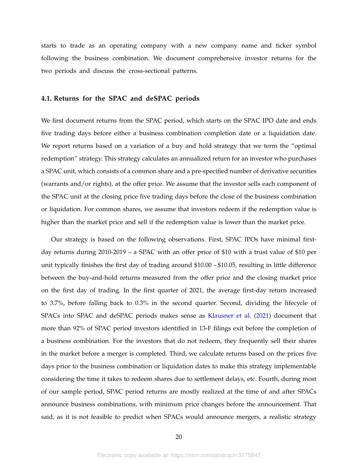starts to trade as an operating company with a new company name and ticker symbol following the business combination. We document comprehensive investor returns for the two periods and discuss the cross-sectional patterns.

#### **4.1. Returns for the SPAC and deSPAC periods**

We first document returns from the SPAC period, which starts on the SPAC IPO date and ends five trading days before either a business combination completion date or a liquidation date. We report returns based on a variation of a buy and hold strategy that we term the "optimal redemption" strategy. This strategy calculates an annualized return for an investor who purchases a SPAC unit, which consists of a common share and a pre-specified number of derivative securities (warrants and/or rights), at the offer price. We assume that the investor sells each component of the SPAC unit at the closing price five trading days before the close of the business combination or liquidation. For common shares, we assume that investors redeem if the redemption value is higher than the market price and sell if the redemption value is lower than the market price.

Our strategy is based on the following observations. First, SPAC IPOs have minimal firstday returns during 2010-2019 – a SPAC with an offer price of \$10 with a trust value of \$10 per unit typically finishes the first day of trading around \$10.00 - \$10.05, resulting in little difference between the buy-and-hold returns measured from the offer price and the closing market price on the first day of trading. In the first quarter of 2021, the average first-day return increased to 3.7%, before falling back to 0.3% in the second quarter. Second, dividing the lifecycle of SPACs into SPAC and deSPAC periods makes sense as [Klausner et al.](#page-44-1) [\(2021\)](#page-44-1) document that more than 92% of SPAC period investors identified in 13-F filings exit before the completion of a business combination. For the investors that do not redeem, they frequently sell their shares in the market before a merger is completed. Third, we calculate returns based on the prices five days prior to the business combination or liquidation dates to make this strategy implementable considering the time it takes to redeem shares due to settlement delays, etc. Fourth, during most of our sample period, SPAC period returns are mostly realized at the time of and after SPACs announce business combinations, with minimum price changes before the announcement. That said, as it is not feasible to predict when SPACs would announce mergers, a realistic strategy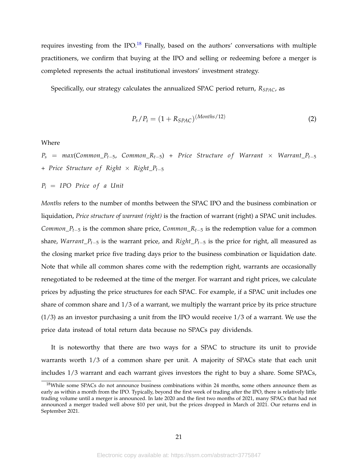requires investing from the IPO.<sup>[18](#page-21-0)</sup> Finally, based on the authors' conversations with multiple practitioners, we confirm that buying at the IPO and selling or redeeming before a merger is completed represents the actual institutional investors' investment strategy.

Specifically, our strategy calculates the annualized SPAC period return, *RSPAC*, as

<span id="page-21-1"></span>
$$
P_s/P_i = (1 + R_{SPAC})^{(Monthly/12)}
$$
 (2)

Where

 $P_s$  =  $max(Common_P_{t-5}, Common_R_{t-5})$  + *Price Structure of Warrant* × *Warrant*\_ $P_{t-5}$ + *Price Structure o f Right* × *Right*\_*Pt*−<sup>5</sup>

 $P_i$  = *IPO Price of a Unit* 

*Months* refers to the number of months between the SPAC IPO and the business combination or liquidation, *Price structure of warrant (right)* is the fraction of warrant (right) a SPAC unit includes. *Common*<sub>\_</sub> $P$ <sup>*t*</sup>−5 is the common share price, *Common*<sub>\_</sub> $R$ <sup>*t*</sup>−5 is the redemption value for a common share, *Warrant*\_*Pt*−<sup>5</sup> is the warrant price, and *Right*\_*Pt*−<sup>5</sup> is the price for right, all measured as the closing market price five trading days prior to the business combination or liquidation date. Note that while all common shares come with the redemption right, warrants are occasionally renegotiated to be redeemed at the time of the merger. For warrant and right prices, we calculate prices by adjusting the price structures for each SPAC. For example, if a SPAC unit includes one share of common share and 1/3 of a warrant, we multiply the warrant price by its price structure  $(1/3)$  as an investor purchasing a unit from the IPO would receive  $1/3$  of a warrant. We use the price data instead of total return data because no SPACs pay dividends.

It is noteworthy that there are two ways for a SPAC to structure its unit to provide warrants worth 1/3 of a common share per unit. A majority of SPACs state that each unit includes 1/3 warrant and each warrant gives investors the right to buy a share. Some SPACs,

<span id="page-21-0"></span><sup>&</sup>lt;sup>18</sup>While some SPACs do not announce business combinations within 24 months, some others announce them as early as within a month from the IPO. Typically, beyond the first week of trading after the IPO, there is relatively little trading volume until a merger is announced. In late 2020 and the first two months of 2021, many SPACs that had not announced a merger traded well above \$10 per unit, but the prices dropped in March of 2021. Our returns end in September 2021.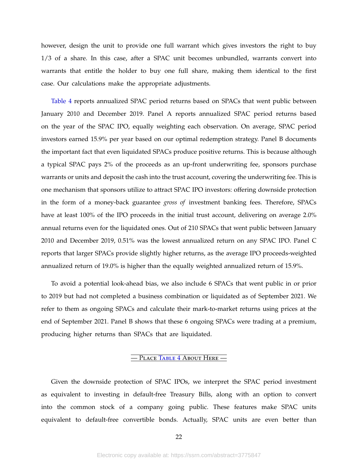however, design the unit to provide one full warrant which gives investors the right to buy 1/3 of a share. In this case, after a SPAC unit becomes unbundled, warrants convert into warrants that entitle the holder to buy one full share, making them identical to the first case. Our calculations make the appropriate adjustments.

[Table 4](#page-51-0) reports annualized SPAC period returns based on SPACs that went public between January 2010 and December 2019. Panel A reports annualized SPAC period returns based on the year of the SPAC IPO, equally weighting each observation. On average, SPAC period investors earned 15.9% per year based on our optimal redemption strategy. Panel B documents the important fact that even liquidated SPACs produce positive returns. This is because although a typical SPAC pays 2% of the proceeds as an up-front underwriting fee, sponsors purchase warrants or units and deposit the cash into the trust account, covering the underwriting fee. This is one mechanism that sponsors utilize to attract SPAC IPO investors: offering downside protection in the form of a money-back guarantee *gross of* investment banking fees. Therefore, SPACs have at least 100% of the IPO proceeds in the initial trust account, delivering on average 2.0% annual returns even for the liquidated ones. Out of 210 SPACs that went public between January 2010 and December 2019, 0.51% was the lowest annualized return on any SPAC IPO. Panel C reports that larger SPACs provide slightly higher returns, as the average IPO proceeds-weighted annualized return of 19.0% is higher than the equally weighted annualized return of 15.9%.

To avoid a potential look-ahead bias, we also include 6 SPACs that went public in or prior to 2019 but had not completed a business combination or liquidated as of September 2021. We refer to them as ongoing SPACs and calculate their mark-to-market returns using prices at the end of September 2021. Panel B shows that these 6 ongoing SPACs were trading at a premium, producing higher returns than SPACs that are liquidated.

#### — Place T[able](#page-51-0) 4 About Here —

Given the downside protection of SPAC IPOs, we interpret the SPAC period investment as equivalent to investing in default-free Treasury Bills, along with an option to convert into the common stock of a company going public. These features make SPAC units equivalent to default-free convertible bonds. Actually, SPAC units are even better than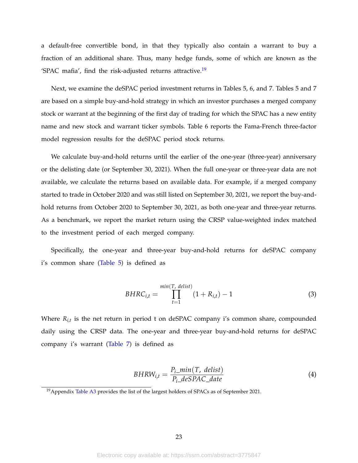a default-free convertible bond, in that they typically also contain a warrant to buy a fraction of an additional share. Thus, many hedge funds, some of which are known as the 'SPAC mafia', find the risk-adjusted returns attractive.<sup>[19](#page-23-0)</sup>

Next, we examine the deSPAC period investment returns in Tables 5, 6, and 7. Tables 5 and 7 are based on a simple buy-and-hold strategy in which an investor purchases a merged company stock or warrant at the beginning of the first day of trading for which the SPAC has a new entity name and new stock and warrant ticker symbols. Table 6 reports the Fama-French three-factor model regression results for the deSPAC period stock returns.

We calculate buy-and-hold returns until the earlier of the one-year (three-year) anniversary or the delisting date (or September 30, 2021). When the full one-year or three-year data are not available, we calculate the returns based on available data. For example, if a merged company started to trade in October 2020 and was still listed on September 30, 2021, we report the buy-andhold returns from October 2020 to September 30, 2021, as both one-year and three-year returns. As a benchmark, we report the market return using the CRSP value-weighted index matched to the investment period of each merged company.

Specifically, the one-year and three-year buy-and-hold returns for deSPAC company i's common share [\(Table 5\)](#page-52-0) is defined as

<span id="page-23-1"></span>
$$
BHRC_{i,t} = \prod_{t=1}^{min(T, \text{ delist})} (1 + R_{i,t}) - 1 \tag{3}
$$

Where *Ri*,*<sup>t</sup>* is the net return in period t on deSPAC company i's common share, compounded daily using the CRSP data. The one-year and three-year buy-and-hold returns for deSPAC company i's warrant [\(Table 7\)](#page-54-0) is defined as

<span id="page-23-2"></span>
$$
BHRW_{i,t} = \frac{P_{i\_min}(T, \text{ delist})}{P_{i\_deSPAC\_date}} \tag{4}
$$

<span id="page-23-0"></span><sup>&</sup>lt;sup>19</sup> Appendix [Table A3](#page-68-0) provides the list of the largest holders of SPACs as of September 2021.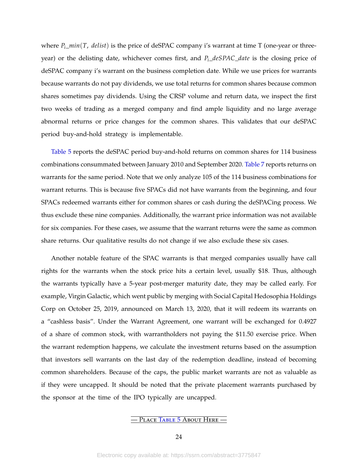where  $P_i$ <sub>*\_min*(*T*, *delist*) is the price of deSPAC company i's warrant at time T (one-year or three-</sub> year) or the delisting date, whichever comes first, and *Pi*\_*deSPAC*\_*date* is the closing price of deSPAC company i's warrant on the business completion date. While we use prices for warrants because warrants do not pay dividends, we use total returns for common shares because common shares sometimes pay dividends. Using the CRSP volume and return data, we inspect the first two weeks of trading as a merged company and find ample liquidity and no large average abnormal returns or price changes for the common shares. This validates that our deSPAC period buy-and-hold strategy is implementable.

[Table 5](#page-52-0) reports the deSPAC period buy-and-hold returns on common shares for 114 business combinations consummated between January 2010 and September 2020. [Table 7](#page-54-0) reports returns on warrants for the same period. Note that we only analyze 105 of the 114 business combinations for warrant returns. This is because five SPACs did not have warrants from the beginning, and four SPACs redeemed warrants either for common shares or cash during the deSPACing process. We thus exclude these nine companies. Additionally, the warrant price information was not available for six companies. For these cases, we assume that the warrant returns were the same as common share returns. Our qualitative results do not change if we also exclude these six cases.

Another notable feature of the SPAC warrants is that merged companies usually have call rights for the warrants when the stock price hits a certain level, usually \$18. Thus, although the warrants typically have a 5-year post-merger maturity date, they may be called early. For example, Virgin Galactic, which went public by merging with Social Capital Hedosophia Holdings Corp on October 25, 2019, announced on March 13, 2020, that it will redeem its warrants on a "cashless basis". Under the Warrant Agreement, one warrant will be exchanged for 0.4927 of a share of common stock, with warrantholders not paying the \$11.50 exercise price. When the warrant redemption happens, we calculate the investment returns based on the assumption that investors sell warrants on the last day of the redemption deadline, instead of becoming common shareholders. Because of the caps, the public market warrants are not as valuable as if they were uncapped. It should be noted that the private placement warrants purchased by the sponsor at the time of the IPO typically are uncapped.

### — Place T[able](#page-52-0) 5 About Here —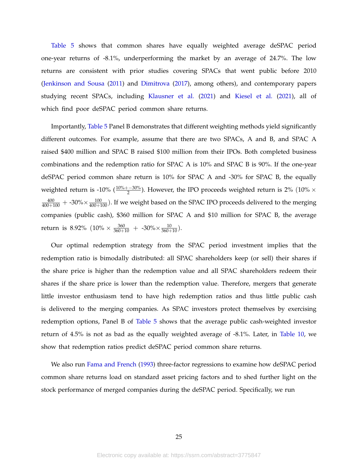[Table 5](#page-52-0) shows that common shares have equally weighted average deSPAC period one-year returns of -8.1%, underperforming the market by an average of 24.7%. The low returns are consistent with prior studies covering SPACs that went public before 2010 [\(Jenkinson and Sousa](#page-44-2) [\(2011\)](#page-44-2) and [Dimitrova](#page-43-0) [\(2017\)](#page-43-0), among others), and contemporary papers studying recent SPACs, including [Klausner et al.](#page-44-1) [\(2021\)](#page-44-1) and [Kiesel et al.](#page-44-10) [\(2021\)](#page-44-10), all of which find poor deSPAC period common share returns.

Importantly, [Table 5](#page-52-0) Panel B demonstrates that different weighting methods yield significantly different outcomes. For example, assume that there are two SPACs, A and B, and SPAC A raised \$400 million and SPAC B raised \$100 million from their IPOs. Both completed business combinations and the redemption ratio for SPAC A is 10% and SPAC B is 90%. If the one-year deSPAC period common share return is 10% for SPAC A and -30% for SPAC B, the equally weighted return is -10% ( $\frac{10\% + -30\%}{2}$ ). However, the IPO proceeds weighted return is 2% (10%  $\times$  $\frac{400}{400+100}+$  -30% $\times\frac{100}{400+100}$ ). If we weight based on the SPAC IPO proceeds delivered to the merging companies (public cash), \$360 million for SPAC A and \$10 million for SPAC B, the average return is 8.92%  $(10\% \times \frac{360}{360+10} + -30\% \times \frac{10}{360+10}).$ 

Our optimal redemption strategy from the SPAC period investment implies that the redemption ratio is bimodally distributed: all SPAC shareholders keep (or sell) their shares if the share price is higher than the redemption value and all SPAC shareholders redeem their shares if the share price is lower than the redemption value. Therefore, mergers that generate little investor enthusiasm tend to have high redemption ratios and thus little public cash is delivered to the merging companies. As SPAC investors protect themselves by exercising redemption options, Panel B of [Table 5](#page-52-0) shows that the average public cash-weighted investor return of 4.5% is not as bad as the equally weighted average of -8.1%. Later, in [Table 10,](#page-56-0) we show that redemption ratios predict deSPAC period common share returns.

We also run [Fama and French](#page-43-8) [\(1993\)](#page-43-8) three-factor regressions to examine how deSPAC period common share returns load on standard asset pricing factors and to shed further light on the stock performance of merged companies during the deSPAC period. Specifically, we run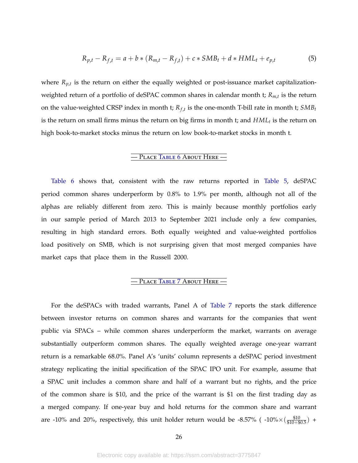<span id="page-26-0"></span>
$$
R_{p,t} - R_{f,t} = a + b * (R_{m,t} - R_{f,t}) + c * SMB_t + d * HML_t + e_{p,t}
$$
(5)

where *Rp*,*<sup>t</sup>* is the return on either the equally weighted or post-issuance market capitalizationweighted return of a portfolio of deSPAC common shares in calendar month t; *Rm*,*<sup>t</sup>* is the return on the value-weighted CRSP index in month t;  $R_{f,t}$  is the one-month T-bill rate in month t;  $SMB_t$ is the return on small firms minus the return on big firms in month t; and *HML<sup>t</sup>* is the return on high book-to-market stocks minus the return on low book-to-market stocks in month t.

## — Place T[able](#page-53-0) 6 About Here —

[Table 6](#page-53-0) shows that, consistent with the raw returns reported in [Table 5,](#page-52-0) deSPAC period common shares underperform by 0.8% to 1.9% per month, although not all of the alphas are reliably different from zero. This is mainly because monthly portfolios early in our sample period of March 2013 to September 2021 include only a few companies, resulting in high standard errors. Both equally weighted and value-weighted portfolios load positively on SMB, which is not surprising given that most merged companies have market caps that place them in the Russell 2000.

## — Place T[able](#page-54-0) 7 About Here —

For the deSPACs with traded warrants, Panel A of [Table 7](#page-54-0) reports the stark difference between investor returns on common shares and warrants for the companies that went public via SPACs – while common shares underperform the market, warrants on average substantially outperform common shares. The equally weighted average one-year warrant return is a remarkable 68.0%. Panel A's 'units' column represents a deSPAC period investment strategy replicating the initial specification of the SPAC IPO unit. For example, assume that a SPAC unit includes a common share and half of a warrant but no rights, and the price of the common share is \$10, and the price of the warrant is \$1 on the first trading day as a merged company. If one-year buy and hold returns for the common share and warrant are -10% and 20%, respectively, this unit holder return would be -8.57% ( -10% $\times(\frac{\$10}{\$10+\$0.5})$  +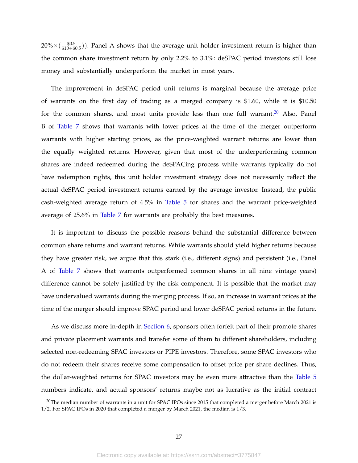$20\%{\times}(\frac{ $0.5}{\$10+\$0.5}))$ . Panel A shows that the average unit holder investment return is higher than the common share investment return by only 2.2% to 3.1%: deSPAC period investors still lose money and substantially underperform the market in most years.

The improvement in deSPAC period unit returns is marginal because the average price of warrants on the first day of trading as a merged company is \$1.60, while it is \$10.50 for the common shares, and most units provide less than one full warrant.<sup>[20](#page-27-0)</sup> Also, Panel B of [Table 7](#page-54-0) shows that warrants with lower prices at the time of the merger outperform warrants with higher starting prices, as the price-weighted warrant returns are lower than the equally weighted returns. However, given that most of the underperforming common shares are indeed redeemed during the deSPACing process while warrants typically do not have redemption rights, this unit holder investment strategy does not necessarily reflect the actual deSPAC period investment returns earned by the average investor. Instead, the public cash-weighted average return of 4.5% in [Table 5](#page-52-0) for shares and the warrant price-weighted average of 25.6% in [Table 7](#page-54-0) for warrants are probably the best measures.

It is important to discuss the possible reasons behind the substantial difference between common share returns and warrant returns. While warrants should yield higher returns because they have greater risk, we argue that this stark (i.e., different signs) and persistent (i.e., Panel A of [Table 7](#page-54-0) shows that warrants outperformed common shares in all nine vintage years) difference cannot be solely justified by the risk component. It is possible that the market may have undervalued warrants during the merging process. If so, an increase in warrant prices at the time of the merger should improve SPAC period and lower deSPAC period returns in the future.

As we discuss more in-depth in [Section 6,](#page-36-0) sponsors often forfeit part of their promote shares and private placement warrants and transfer some of them to different shareholders, including selected non-redeeming SPAC investors or PIPE investors. Therefore, some SPAC investors who do not redeem their shares receive some compensation to offset price per share declines. Thus, the dollar-weighted returns for SPAC investors may be even more attractive than the [Table 5](#page-52-0) numbers indicate, and actual sponsors' returns maybe not as lucrative as the initial contract

<span id="page-27-0"></span> $20$ The median number of warrants in a unit for SPAC IPOs since 2015 that completed a merger before March 2021 is 1/2. For SPAC IPOs in 2020 that completed a merger by March 2021, the median is 1/3.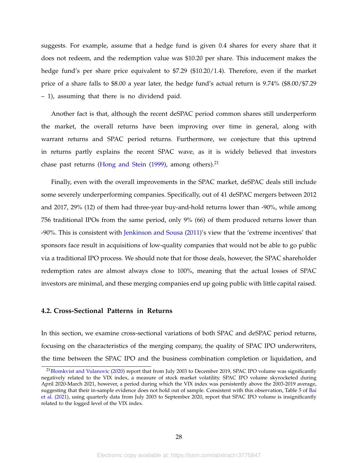suggests. For example, assume that a hedge fund is given 0.4 shares for every share that it does not redeem, and the redemption value was \$10.20 per share. This inducement makes the hedge fund's per share price equivalent to \$7.29 (\$10.20/1.4). Therefore, even if the market price of a share falls to \$8.00 a year later, the hedge fund's actual return is 9.74% (\$8.00/\$7.29 – 1), assuming that there is no dividend paid.

Another fact is that, although the recent deSPAC period common shares still underperform the market, the overall returns have been improving over time in general, along with warrant returns and SPAC period returns. Furthermore, we conjecture that this uptrend in returns partly explains the recent SPAC wave, as it is widely believed that investors chase past returns [\(Hong and Stein](#page-43-9)  $(1999)$ , among others).<sup>[21](#page-28-0)</sup>

Finally, even with the overall improvements in the SPAC market, deSPAC deals still include some severely underperforming companies. Specifically, out of 41 deSPAC mergers between 2012 and 2017, 29% (12) of them had three-year buy-and-hold returns lower than -90%, while among 756 traditional IPOs from the same period, only 9% (66) of them produced returns lower than -90%. This is consistent with [Jenkinson and Sousa](#page-44-2) [\(2011\)](#page-44-2)'s view that the 'extreme incentives' that sponsors face result in acquisitions of low-quality companies that would not be able to go public via a traditional IPO process. We should note that for those deals, however, the SPAC shareholder redemption rates are almost always close to 100%, meaning that the actual losses of SPAC investors are minimal, and these merging companies end up going public with little capital raised.

#### **4.2. Cross-Sectional Patterns in Returns**

In this section, we examine cross-sectional variations of both SPAC and deSPAC period returns, focusing on the characteristics of the merging company, the quality of SPAC IPO underwriters, the time between the SPAC IPO and the business combination completion or liquidation, and

<span id="page-28-0"></span><sup>&</sup>lt;sup>21</sup>[Blomkvist and Vulanovic](#page-43-10) [\(2020\)](#page-43-10) report that from July 2003 to December 2019, SPAC IPO volume was significantly negatively related to the VIX index, a measure of stock market volatility. SPAC IPO volume skyrocketed during April 2020-March 2021, however, a period during which the VIX index was persistently above the 2003-2019 average, suggesting that their in-sample evidence does not hold out of sample. Consistent with this observation, Table 5 of [Bai](#page-43-4) [et al.](#page-43-4) [\(2021\)](#page-43-4), using quarterly data from July 2003 to September 2020, report that SPAC IPO volume is insignificantly related to the logged level of the VIX index.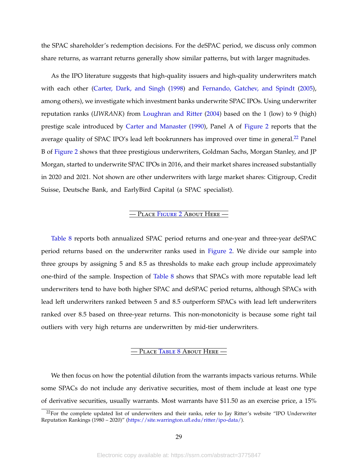the SPAC shareholder's redemption decisions. For the deSPAC period, we discuss only common share returns, as warrant returns generally show similar patterns, but with larger magnitudes.

As the IPO literature suggests that high-quality issuers and high-quality underwriters match with each other [\(Carter, Dark, and Singh](#page-43-11) [\(1998\)](#page-43-11) and [Fernando, Gatchev, and Spindt](#page-43-12) [\(2005\)](#page-43-12), among others), we investigate which investment banks underwrite SPAC IPOs. Using underwriter reputation ranks (*UWRANK*) from [Loughran and Ritter](#page-44-12) [\(2004\)](#page-44-12) based on the 1 (low) to 9 (high) prestige scale introduced by [Carter and Manaster](#page-43-13) [\(1990\)](#page-43-13), Panel A of [Figure 2](#page-46-0) reports that the average quality of SPAC IPO's lead left bookrunners has improved over time in general.<sup>[22](#page-29-0)</sup> Panel B of [Figure 2](#page-46-0) shows that three prestigious underwriters, Goldman Sachs, Morgan Stanley, and JP Morgan, started to underwrite SPAC IPOs in 2016, and their market shares increased substantially in 2020 and 2021. Not shown are other underwriters with large market shares: Citigroup, Credit Suisse, Deutsche Bank, and EarlyBird Capital (a SPAC specialist).

#### — Place F[igure](#page-46-0) 2 About Here —

[Table 8](#page-55-0) reports both annualized SPAC period returns and one-year and three-year deSPAC period returns based on the underwriter ranks used in [Figure 2.](#page-46-0) We divide our sample into three groups by assigning 5 and 8.5 as thresholds to make each group include approximately one-third of the sample. Inspection of [Table 8](#page-55-0) shows that SPACs with more reputable lead left underwriters tend to have both higher SPAC and deSPAC period returns, although SPACs with lead left underwriters ranked between 5 and 8.5 outperform SPACs with lead left underwriters ranked over 8.5 based on three-year returns. This non-monotonicity is because some right tail outliers with very high returns are underwritten by mid-tier underwriters.

#### — Place T[able](#page-55-0) 8 About Here —

We then focus on how the potential dilution from the warrants impacts various returns. While some SPACs do not include any derivative securities, most of them include at least one type of derivative securities, usually warrants. Most warrants have \$11.50 as an exercise price, a 15%

<span id="page-29-0"></span> $22$ For the complete updated list of underwriters and their ranks, refer to Jay Ritter's website "IPO Underwriter Reputation Rankings (1980 – 2020)" [\(https://site.warrington.ufl.edu/ritter/ipo-data/\)](https://site.warrington.ufl.edu/ritter/ipo-data/).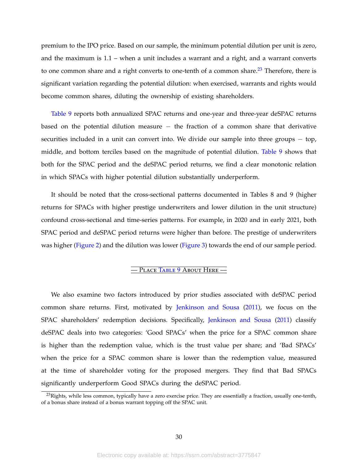premium to the IPO price. Based on our sample, the minimum potential dilution per unit is zero, and the maximum is 1.1 – when a unit includes a warrant and a right, and a warrant converts to one common share and a right converts to one-tenth of a common share. $^{23}$  $^{23}$  $^{23}$  Therefore, there is significant variation regarding the potential dilution: when exercised, warrants and rights would become common shares, diluting the ownership of existing shareholders.

[Table 9](#page-55-1) reports both annualized SPAC returns and one-year and three-year deSPAC returns based on the potential dilution measure − the fraction of a common share that derivative securities included in a unit can convert into. We divide our sample into three groups – top, middle, and bottom terciles based on the magnitude of potential dilution. [Table 9](#page-55-1) shows that both for the SPAC period and the deSPAC period returns, we find a clear monotonic relation in which SPACs with higher potential dilution substantially underperform.

It should be noted that the cross-sectional patterns documented in Tables 8 and 9 (higher returns for SPACs with higher prestige underwriters and lower dilution in the unit structure) confound cross-sectional and time-series patterns. For example, in 2020 and in early 2021, both SPAC period and deSPAC period returns were higher than before. The prestige of underwriters was higher [\(Figure 2\)](#page-46-0) and the dilution was lower [\(Figure 3\)](#page-47-0) towards the end of our sample period.

#### — Place T[able](#page-55-1) 9 About Here —

We also examine two factors introduced by prior studies associated with deSPAC period common share returns. First, motivated by [Jenkinson and Sousa](#page-44-2) [\(2011\)](#page-44-2), we focus on the SPAC shareholders' redemption decisions. Specifically, [Jenkinson and Sousa](#page-44-2) [\(2011\)](#page-44-2) classify deSPAC deals into two categories: 'Good SPACs' when the price for a SPAC common share is higher than the redemption value, which is the trust value per share; and 'Bad SPACs' when the price for a SPAC common share is lower than the redemption value, measured at the time of shareholder voting for the proposed mergers. They find that Bad SPACs significantly underperform Good SPACs during the deSPAC period.

<span id="page-30-0"></span> $^{23}$ Rights, while less common, typically have a zero exercise price. They are essentially a fraction, usually one-tenth, of a bonus share instead of a bonus warrant topping off the SPAC unit.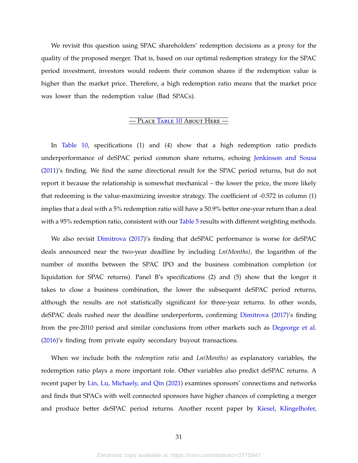We revisit this question using SPAC shareholders' redemption decisions as a proxy for the quality of the proposed merger. That is, based on our optimal redemption strategy for the SPAC period investment, investors would redeem their common shares if the redemption value is higher than the market price. Therefore, a high redemption ratio means that the market price was lower than the redemption value (Bad SPACs).

## — Place T[able](#page-56-0) 10 About Here —

In [Table 10,](#page-56-0) specifications (1) and (4) show that a high redemption ratio predicts underperformance of deSPAC period common share returns, echoing [Jenkinson and Sousa](#page-44-2) [\(2011\)](#page-44-2)'s finding. We find the same directional result for the SPAC period returns, but do not report it because the relationship is somewhat mechanical – the lower the price, the more likely that redeeming is the value-maximizing investor strategy. The coefficient of -0.572 in column (1) implies that a deal with a 5% redemption ratio will have a 50.9% better one-year return than a deal with a 95% redemption ratio, consistent with our [Table 5](#page-52-0) results with different weighting methods.

We also revisit [Dimitrova](#page-43-0) [\(2017\)](#page-43-0)'s finding that deSPAC performance is worse for deSPAC deals announced near the two-year deadline by including *Ln(Months)*, the logarithm of the number of months between the SPAC IPO and the business combination completion (or liquidation for SPAC returns). Panel B's specifications (2) and (5) show that the longer it takes to close a business combination, the lower the subsequent deSPAC period returns, although the results are not statistically significant for three-year returns. In other words, deSPAC deals rushed near the deadline underperform, confirming [Dimitrova](#page-43-0) [\(2017\)](#page-43-0)'s finding from the pre-2010 period and similar conclusions from other markets such as [Degeorge et al.](#page-43-1) [\(2016\)](#page-43-1)'s finding from private equity secondary buyout transactions.

When we include both the *redemption ratio* and *Ln(Months)* as explanatory variables, the redemption ratio plays a more important role. Other variables also predict deSPAC returns. A recent paper by [Lin, Lu, Michaely, and Qin](#page-44-13) [\(2021\)](#page-44-13) examines sponsors' connections and networks and finds that SPACs with well connected sponsors have higher chances of completing a merger and produce better deSPAC period returns. Another recent paper by [Kiesel, Klingelhofer,](#page-44-10)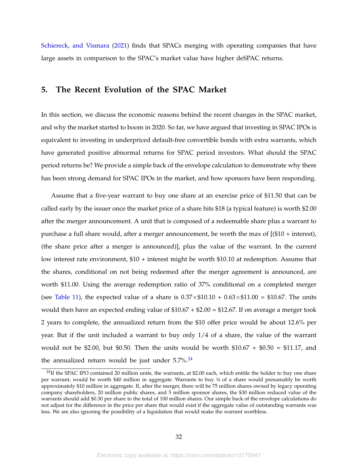[Schiereck, and Vismara](#page-44-10) [\(2021\)](#page-44-10) finds that SPACs merging with operating companies that have large assets in comparison to the SPAC's market value have higher deSPAC returns.

## **5. The Recent Evolution of the SPAC Market**

In this section, we discuss the economic reasons behind the recent changes in the SPAC market, and why the market started to boom in 2020. So far, we have argued that investing in SPAC IPOs is equivalent to investing in underpriced default-free convertible bonds with extra warrants, which have generated positive abnormal returns for SPAC period investors. What should the SPAC period returns be? We provide a simple back of the envelope calculation to demonstrate why there has been strong demand for SPAC IPOs in the market, and how sponsors have been responding.

Assume that a five-year warrant to buy one share at an exercise price of \$11.50 that can be called early by the issuer once the market price of a share hits \$18 (a typical feature) is worth \$2.00 after the merger announcement. A unit that is composed of a redeemable share plus a warrant to purchase a full share would, after a merger announcement, be worth the max of [(\$10 + interest), (the share price after a merger is announced)], plus the value of the warrant. In the current low interest rate environment, \$10 + interest might be worth \$10.10 at redemption. Assume that the shares, conditional on not being redeemed after the merger agreement is announced, are worth \$11.00. Using the average redemption ratio of 37% conditional on a completed merger (see [Table 11\)](#page-57-0), the expected value of a share is  $0.37\times\$10.10 + 0.63\times\$11.00 = \$10.67$ . The units would then have an expected ending value of  $$10.67 + $2.00 = $12.67$ . If on average a merger took 2 years to complete, the annualized return from the \$10 offer price would be about 12.6% per year. But if the unit included a warrant to buy only 1/4 of a share, the value of the warrant would not be \$2.00, but \$0.50. Then the units would be worth  $$10.67 + $0.50 = $11.17$ , and the annualized return would be just under  $5.7\frac{\textdegree}{\textdegree}^24$  $5.7\frac{\textdegree}{\textdegree}^24$ 

<span id="page-32-0"></span><sup>&</sup>lt;sup>24</sup>If the SPAC IPO contained 20 million units, the warrants, at \$2.00 each, which entitle the holder to buy one share per warrant, would be worth \$40 million in aggregate. Warrants to buy ¼ of a share would presumably be worth approximately \$10 million in aggregate. If, after the merger, there will be 75 million shares owned by legacy operating company shareholders, 20 million public shares, and 5 million sponsor shares, the \$30 million reduced value of the warrants should add \$0.30 per share to the total of 100 million shares. Our simple back of the envelope calculations do not adjust for the difference in the price per share that would exist if the aggregate value of outstanding warrants was less. We are also ignoring the possibility of a liquidation that would make the warrant worthless.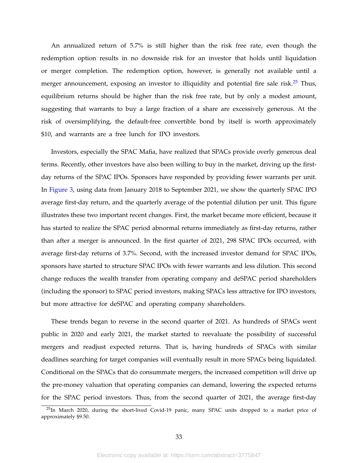An annualized return of 5.7% is still higher than the risk free rate, even though the redemption option results in no downside risk for an investor that holds until liquidation or merger completion. The redemption option, however, is generally not available until a merger announcement, exposing an investor to illiquidity and potential fire sale risk.<sup>[25](#page-33-0)</sup> Thus, equilibrium returns should be higher than the risk free rate, but by only a modest amount, suggesting that warrants to buy a large fraction of a share are excessively generous. At the risk of oversimplifying, the default-free convertible bond by itself is worth approximately \$10, and warrants are a free lunch for IPO investors.

Investors, especially the SPAC Mafia, have realized that SPACs provide overly generous deal terms. Recently, other investors have also been willing to buy in the market, driving up the firstday returns of the SPAC IPOs. Sponsors have responded by providing fewer warrants per unit. In [Figure 3,](#page-47-0) using data from January 2018 to September 2021, we show the quarterly SPAC IPO average first-day return, and the quarterly average of the potential dilution per unit. This figure illustrates these two important recent changes. First, the market became more efficient, because it has started to realize the SPAC period abnormal returns immediately as first-day returns, rather than after a merger is announced. In the first quarter of 2021, 298 SPAC IPOs occurred, with average first-day returns of 3.7%. Second, with the increased investor demand for SPAC IPOs, sponsors have started to structure SPAC IPOs with fewer warrants and less dilution. This second change reduces the wealth transfer from operating company and deSPAC period shareholders (including the sponsor) to SPAC period investors, making SPACs less attractive for IPO investors, but more attractive for deSPAC and operating company shareholders.

These trends began to reverse in the second quarter of 2021. As hundreds of SPACs went public in 2020 and early 2021, the market started to reevaluate the possibility of successful mergers and readjust expected returns. That is, having hundreds of SPACs with similar deadlines searching for target companies will eventually result in more SPACs being liquidated. Conditional on the SPACs that do consummate mergers, the increased competition will drive up the pre-money valuation that operating companies can demand, lowering the expected returns for the SPAC period investors. Thus, from the second quarter of 2021, the average first-day

<span id="page-33-0"></span><sup>&</sup>lt;sup>25</sup>In March 2020, during the short-lived Covid-19 panic, many SPAC units dropped to a market price of approximately \$9.50.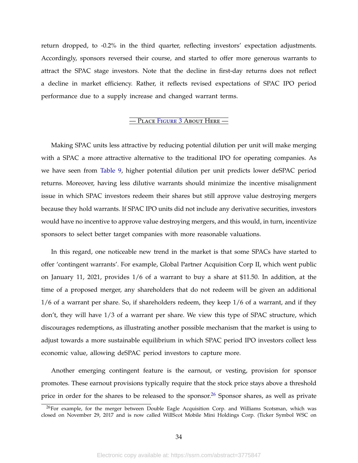return dropped, to -0.2% in the third quarter, reflecting investors' expectation adjustments. Accordingly, sponsors reversed their course, and started to offer more generous warrants to attract the SPAC stage investors. Note that the decline in first-day returns does not reflect a decline in market efficiency. Rather, it reflects revised expectations of SPAC IPO period performance due to a supply increase and changed warrant terms.

#### — Place F[igure](#page-47-0) 3 About Here —

Making SPAC units less attractive by reducing potential dilution per unit will make merging with a SPAC a more attractive alternative to the traditional IPO for operating companies. As we have seen from [Table 9,](#page-55-1) higher potential dilution per unit predicts lower deSPAC period returns. Moreover, having less dilutive warrants should minimize the incentive misalignment issue in which SPAC investors redeem their shares but still approve value destroying mergers because they hold warrants. If SPAC IPO units did not include any derivative securities, investors would have no incentive to approve value destroying mergers, and this would, in turn, incentivize sponsors to select better target companies with more reasonable valuations.

In this regard, one noticeable new trend in the market is that some SPACs have started to offer 'contingent warrants'. For example, Global Partner Acquisition Corp II, which went public on January 11, 2021, provides 1/6 of a warrant to buy a share at \$11.50. In addition, at the time of a proposed merger, any shareholders that do not redeem will be given an additional 1/6 of a warrant per share. So, if shareholders redeem, they keep 1/6 of a warrant, and if they don't, they will have 1/3 of a warrant per share. We view this type of SPAC structure, which discourages redemptions, as illustrating another possible mechanism that the market is using to adjust towards a more sustainable equilibrium in which SPAC period IPO investors collect less economic value, allowing deSPAC period investors to capture more.

Another emerging contingent feature is the earnout, or vesting, provision for sponsor promotes. These earnout provisions typically require that the stock price stays above a threshold price in order for the shares to be released to the sponsor.<sup>[26](#page-34-0)</sup> Sponsor shares, as well as private

<span id="page-34-0"></span><sup>&</sup>lt;sup>26</sup>For example, for the merger between Double Eagle Acquisition Corp. and Williams Scotsman, which was closed on November 29, 2017 and is now called WillScot Mobile Mini Holdings Corp. (Ticker Symbol WSC on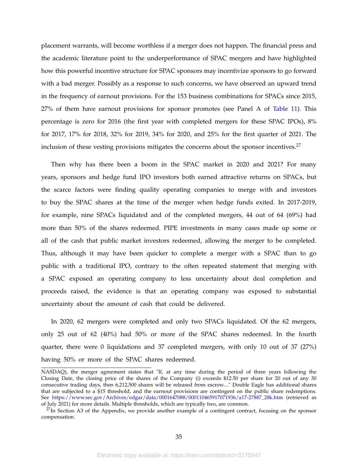placement warrants, will become worthless if a merger does not happen. The financial press and the academic literature point to the underperformance of SPAC mergers and have highlighted how this powerful incentive structure for SPAC sponsors may incentivize sponsors to go forward with a bad merger. Possibly as a response to such concerns, we have observed an upward trend in the frequency of earnout provisions. For the 153 business combinations for SPACs since 2015, 27% of them have earnout provisions for sponsor promotes (see Panel A of [Table 11\)](#page-57-0). This percentage is zero for 2016 (the first year with completed mergers for these SPAC IPOs), 8% for 2017, 17% for 2018, 32% for 2019, 34% for 2020, and 25% for the first quarter of 2021. The inclusion of these vesting provisions mitigates the concerns about the sponsor incentives.<sup>[27](#page-35-0)</sup>

Then why has there been a boom in the SPAC market in 2020 and 2021? For many years, sponsors and hedge fund IPO investors both earned attractive returns on SPACs, but the scarce factors were finding quality operating companies to merge with and investors to buy the SPAC shares at the time of the merger when hedge funds exited. In 2017-2019, for example, nine SPACs liquidated and of the completed mergers, 44 out of 64 (69%) had more than 50% of the shares redeemed. PIPE investments in many cases made up some or all of the cash that public market investors redeemed, allowing the merger to be completed. Thus, although it may have been quicker to complete a merger with a SPAC than to go public with a traditional IPO, contrary to the often repeated statement that merging with a SPAC exposed an operating company to less uncertainty about deal completion and proceeds raised, the evidence is that an operating company was exposed to substantial uncertainty about the amount of cash that could be delivered.

In 2020, 62 mergers were completed and only two SPACs liquidated. Of the 62 mergers, only 25 out of 62 (40%) had 50% or more of the SPAC shares redeemed. In the fourth quarter, there were 0 liquidations and 37 completed mergers, with only 10 out of 37 (27%) having 50% or more of the SPAC shares redeemed.

NASDAQ), the merger agreement states that "If, at any time during the period of three years following the Closing Date, the closing price of the shares of the Company (i) exceeds \$12.50 per share for 20 out of any 30 consecutive trading days, then 6,212,500 shares will be released from escrow...." Double Eagle has additional shares that are subjected to a \$15 threshold, and the earnout provisions are contingent on the public share redemptions. See [https://www.sec.gov/Archives/edgar/data/0001647088/000110465917071936/a17-27887\\_28k.htm](https://www.sec.gov/Archives/edgar/data/0001647088/000110465917071936/a17-27887_28k.htm) (retrieved as of July 2021) for more details. Multiple thresholds, which are typically two, are common.

<span id="page-35-0"></span> $^{27}$ In Section A3 of the Appendix, we provide another example of a contingent contract, focusing on the sponsor compensation.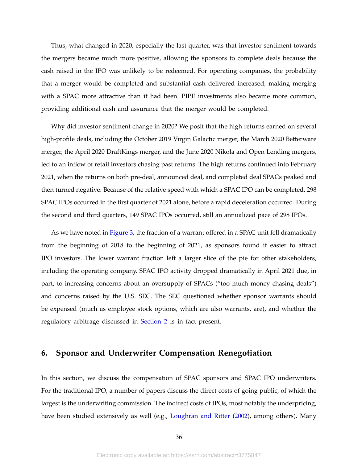Thus, what changed in 2020, especially the last quarter, was that investor sentiment towards the mergers became much more positive, allowing the sponsors to complete deals because the cash raised in the IPO was unlikely to be redeemed. For operating companies, the probability that a merger would be completed and substantial cash delivered increased, making merging with a SPAC more attractive than it had been. PIPE investments also became more common, providing additional cash and assurance that the merger would be completed.

Why did investor sentiment change in 2020? We posit that the high returns earned on several high-profile deals, including the October 2019 Virgin Galactic merger, the March 2020 Betterware merger, the April 2020 DraftKings merger, and the June 2020 Nikola and Open Lending mergers, led to an inflow of retail investors chasing past returns. The high returns continued into February 2021, when the returns on both pre-deal, announced deal, and completed deal SPACs peaked and then turned negative. Because of the relative speed with which a SPAC IPO can be completed, 298 SPAC IPOs occurred in the first quarter of 2021 alone, before a rapid deceleration occurred. During the second and third quarters, 149 SPAC IPOs occurred, still an annualized pace of 298 IPOs.

As we have noted in [Figure 3,](#page-47-0) the fraction of a warrant offered in a SPAC unit fell dramatically from the beginning of 2018 to the beginning of 2021, as sponsors found it easier to attract IPO investors. The lower warrant fraction left a larger slice of the pie for other stakeholders, including the operating company. SPAC IPO activity dropped dramatically in April 2021 due, in part, to increasing concerns about an oversupply of SPACs ("too much money chasing deals") and concerns raised by the U.S. SEC. The SEC questioned whether sponsor warrants should be expensed (much as employee stock options, which are also warrants, are), and whether the regulatory arbitrage discussed in [Section 2](#page-7-1) is in fact present.

## <span id="page-36-0"></span>**6. Sponsor and Underwriter Compensation Renegotiation**

In this section, we discuss the compensation of SPAC sponsors and SPAC IPO underwriters. For the traditional IPO, a number of papers discuss the direct costs of going public, of which the largest is the underwriting commission. The indirect costs of IPOs, most notably the underpricing, have been studied extensively as well (e.g., [Loughran and Ritter](#page-44-14) [\(2002\)](#page-44-14), among others). Many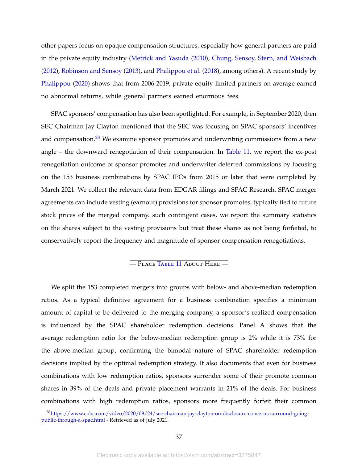other papers focus on opaque compensation structures, especially how general partners are paid in the private equity industry [\(Metrick and Yasuda](#page-44-7) [\(2010\)](#page-44-7), [Chung, Sensoy, Stern, and Weisbach](#page-43-14) [\(2012\)](#page-43-14), [Robinson and Sensoy](#page-44-15) [\(2013\)](#page-44-15), and [Phalippou et al.](#page-44-8) [\(2018\)](#page-44-8), among others). A recent study by [Phalippou](#page-44-16) [\(2020\)](#page-44-16) shows that from 2006-2019, private equity limited partners on average earned no abnormal returns, while general partners earned enormous fees.

SPAC sponsors' compensation has also been spotlighted. For example, in September 2020, then SEC Chairman Jay Clayton mentioned that the SEC was focusing on SPAC sponsors' incentives and compensation.<sup>[28](#page-37-0)</sup> We examine sponsor promotes and underwriting commissions from a new angle – the downward renegotiation of their compensation. In [Table 11,](#page-57-0) we report the ex-post renegotiation outcome of sponsor promotes and underwriter deferred commissions by focusing on the 153 business combinations by SPAC IPOs from 2015 or later that were completed by March 2021. We collect the relevant data from EDGAR filings and SPAC Research. SPAC merger agreements can include vesting (earnout) provisions for sponsor promotes, typically tied to future stock prices of the merged company. such contingent cases, we report the summary statistics on the shares subject to the vesting provisions but treat these shares as not being forfeited, to conservatively report the frequency and magnitude of sponsor compensation renegotiations.

### — Place T[able](#page-57-0) 11 About Here —

We split the 153 completed mergers into groups with below- and above-median redemption ratios. As a typical definitive agreement for a business combination specifies a minimum amount of capital to be delivered to the merging company, a sponsor's realized compensation is influenced by the SPAC shareholder redemption decisions. Panel A shows that the average redemption ratio for the below-median redemption group is 2% while it is 73% for the above-median group, confirming the bimodal nature of SPAC shareholder redemption decisions implied by the optimal redemption strategy. It also documents that even for business combinations with low redemption ratios, sponsors surrender some of their promote common shares in 39% of the deals and private placement warrants in 21% of the deals. For business combinations with high redemption ratios, sponsors more frequently forfeit their common

<span id="page-37-0"></span><sup>28</sup>[https://www.cnbc.com/video/2020/09/24/sec-chairman-jay-clayton-on-disclosure-concerns-surround-going](https://www.cnbc.com/video/2020/09/24/sec-chairman-jay-clayton-on-disclosure-concerns-surround-going-public-through-a-spac.html)[public-through-a-spac.html](https://www.cnbc.com/video/2020/09/24/sec-chairman-jay-clayton-on-disclosure-concerns-surround-going-public-through-a-spac.html) - Retrieved as of July 2021.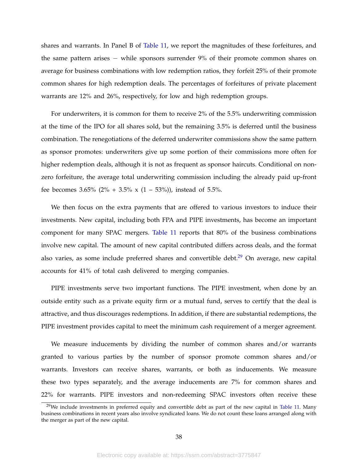shares and warrants. In Panel B of [Table 11,](#page-57-0) we report the magnitudes of these forfeitures, and the same pattern arises − while sponsors surrender 9% of their promote common shares on average for business combinations with low redemption ratios, they forfeit 25% of their promote common shares for high redemption deals. The percentages of forfeitures of private placement warrants are 12% and 26%, respectively, for low and high redemption groups.

For underwriters, it is common for them to receive 2% of the 5.5% underwriting commission at the time of the IPO for all shares sold, but the remaining 3.5% is deferred until the business combination. The renegotiations of the deferred underwriter commissions show the same pattern as sponsor promotes: underwriters give up some portion of their commissions more often for higher redemption deals, although it is not as frequent as sponsor haircuts. Conditional on nonzero forfeiture, the average total underwriting commission including the already paid up-front fee becomes 3.65% (2% + 3.5% x (1 – 53%)), instead of 5.5%.

We then focus on the extra payments that are offered to various investors to induce their investments. New capital, including both FPA and PIPE investments, has become an important component for many SPAC mergers. [Table 11](#page-57-0) reports that 80% of the business combinations involve new capital. The amount of new capital contributed differs across deals, and the format also varies, as some include preferred shares and convertible debt.<sup>[29](#page-38-0)</sup> On average, new capital accounts for 41% of total cash delivered to merging companies.

PIPE investments serve two important functions. The PIPE investment, when done by an outside entity such as a private equity firm or a mutual fund, serves to certify that the deal is attractive, and thus discourages redemptions. In addition, if there are substantial redemptions, the PIPE investment provides capital to meet the minimum cash requirement of a merger agreement.

We measure inducements by dividing the number of common shares and/or warrants granted to various parties by the number of sponsor promote common shares and/or warrants. Investors can receive shares, warrants, or both as inducements. We measure these two types separately, and the average inducements are 7% for common shares and 22% for warrants. PIPE investors and non-redeeming SPAC investors often receive these

<span id="page-38-0"></span><sup>&</sup>lt;sup>29</sup>We include investments in preferred equity and convertible debt as part of the new capital in [Table 11.](#page-57-0) Many business combinations in recent years also involve syndicated loans. We do not count these loans arranged along with the merger as part of the new capital.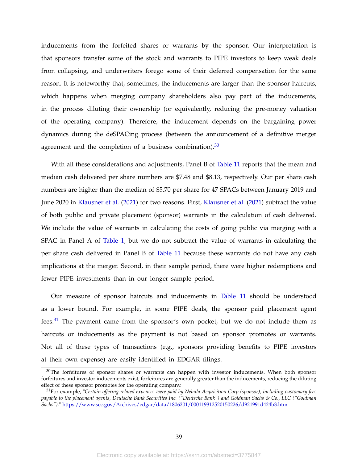inducements from the forfeited shares or warrants by the sponsor. Our interpretation is that sponsors transfer some of the stock and warrants to PIPE investors to keep weak deals from collapsing, and underwriters forego some of their deferred compensation for the same reason. It is noteworthy that, sometimes, the inducements are larger than the sponsor haircuts, which happens when merging company shareholders also pay part of the inducements, in the process diluting their ownership (or equivalently, reducing the pre-money valuation of the operating company). Therefore, the inducement depends on the bargaining power dynamics during the deSPACing process (between the announcement of a definitive merger agreement and the completion of a business combination). $30$ 

With all these considerations and adjustments, Panel B of [Table 11](#page-57-0) reports that the mean and median cash delivered per share numbers are \$7.48 and \$8.13, respectively. Our per share cash numbers are higher than the median of \$5.70 per share for 47 SPACs between January 2019 and June 2020 in [Klausner et al.](#page-44-1) [\(2021\)](#page-44-1) for two reasons. First, [Klausner et al.](#page-44-1) [\(2021\)](#page-44-1) subtract the value of both public and private placement (sponsor) warrants in the calculation of cash delivered. We include the value of warrants in calculating the costs of going public via merging with a SPAC in Panel A of [Table 1,](#page-48-0) but we do not subtract the value of warrants in calculating the per share cash delivered in Panel B of [Table 11](#page-57-0) because these warrants do not have any cash implications at the merger. Second, in their sample period, there were higher redemptions and fewer PIPE investments than in our longer sample period.

Our measure of sponsor haircuts and inducements in [Table 11](#page-57-0) should be understood as a lower bound. For example, in some PIPE deals, the sponsor paid placement agent fees. $31$  The payment came from the sponsor's own pocket, but we do not include them as haircuts or inducements as the payment is not based on sponsor promotes or warrants. Not all of these types of transactions (e.g., sponsors providing benefits to PIPE investors at their own expense) are easily identified in EDGAR filings.

<span id="page-39-0"></span><sup>&</sup>lt;sup>30</sup>The forfeitures of sponsor shares or warrants can happen with investor inducements. When both sponsor forfeitures and investor inducements exist, forfeitures are generally greater than the inducements, reducing the diluting effect of these sponsor promotes for the operating company.

<span id="page-39-1"></span><sup>31</sup>For example, "*Certain offering related expenses were paid by Nebula Acquisition Corp (sponsor), including customary fees payable to the placement agents, Deutsche Bank Securities Inc. ("Deutsche Bank") and Goldman Sachs & Co., LLC ("Goldman Sachs")*." <https://www.sec.gov/Archives/edgar/data/1806201/000119312520150226/d921991d424b3.htm>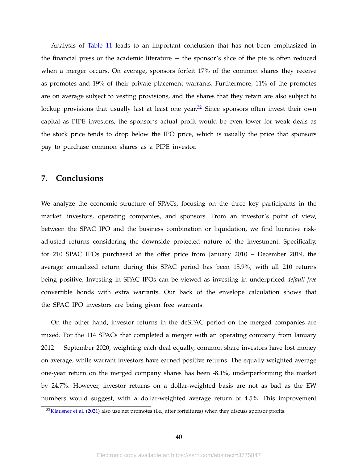Analysis of [Table 11](#page-57-0) leads to an important conclusion that has not been emphasized in the financial press or the academic literature − the sponsor's slice of the pie is often reduced when a merger occurs. On average, sponsors forfeit 17% of the common shares they receive as promotes and 19% of their private placement warrants. Furthermore, 11% of the promotes are on average subject to vesting provisions, and the shares that they retain are also subject to lockup provisions that usually last at least one year. $32$  Since sponsors often invest their own capital as PIPE investors, the sponsor's actual profit would be even lower for weak deals as the stock price tends to drop below the IPO price, which is usually the price that sponsors pay to purchase common shares as a PIPE investor.

## **7. Conclusions**

We analyze the economic structure of SPACs, focusing on the three key participants in the market: investors, operating companies, and sponsors. From an investor's point of view, between the SPAC IPO and the business combination or liquidation, we find lucrative riskadjusted returns considering the downside protected nature of the investment. Specifically, for 210 SPAC IPOs purchased at the offer price from January 2010 – December 2019, the average annualized return during this SPAC period has been 15.9%, with all 210 returns being positive. Investing in SPAC IPOs can be viewed as investing in underpriced *default-free* convertible bonds with extra warrants. Our back of the envelope calculation shows that the SPAC IPO investors are being given free warrants.

On the other hand, investor returns in the deSPAC period on the merged companies are mixed. For the 114 SPACs that completed a merger with an operating company from January 2012 − September 2020, weighting each deal equally, common share investors have lost money on average, while warrant investors have earned positive returns. The equally weighted average one-year return on the merged company shares has been -8.1%, underperforming the market by 24.7%. However, investor returns on a dollar-weighted basis are not as bad as the EW numbers would suggest, with a dollar-weighted average return of 4.5%. This improvement

<span id="page-40-0"></span><sup>&</sup>lt;sup>32</sup>[Klausner et al.](#page-44-1) [\(2021\)](#page-44-1) also use net promotes (i.e., after forfeitures) when they discuss sponsor profits.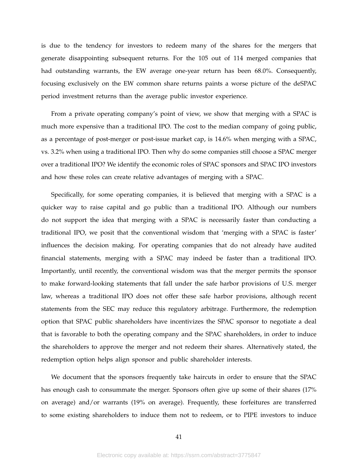is due to the tendency for investors to redeem many of the shares for the mergers that generate disappointing subsequent returns. For the 105 out of 114 merged companies that had outstanding warrants, the EW average one-year return has been 68.0%. Consequently, focusing exclusively on the EW common share returns paints a worse picture of the deSPAC period investment returns than the average public investor experience.

From a private operating company's point of view, we show that merging with a SPAC is much more expensive than a traditional IPO. The cost to the median company of going public, as a percentage of post-merger or post-issue market cap, is 14.6% when merging with a SPAC, vs. 3.2% when using a traditional IPO. Then why do some companies still choose a SPAC merger over a traditional IPO? We identify the economic roles of SPAC sponsors and SPAC IPO investors and how these roles can create relative advantages of merging with a SPAC.

Specifically, for some operating companies, it is believed that merging with a SPAC is a quicker way to raise capital and go public than a traditional IPO. Although our numbers do not support the idea that merging with a SPAC is necessarily faster than conducting a traditional IPO, we posit that the conventional wisdom that 'merging with a SPAC is faster' influences the decision making. For operating companies that do not already have audited financial statements, merging with a SPAC may indeed be faster than a traditional IPO. Importantly, until recently, the conventional wisdom was that the merger permits the sponsor to make forward-looking statements that fall under the safe harbor provisions of U.S. merger law, whereas a traditional IPO does not offer these safe harbor provisions, although recent statements from the SEC may reduce this regulatory arbitrage. Furthermore, the redemption option that SPAC public shareholders have incentivizes the SPAC sponsor to negotiate a deal that is favorable to both the operating company and the SPAC shareholders, in order to induce the shareholders to approve the merger and not redeem their shares. Alternatively stated, the redemption option helps align sponsor and public shareholder interests.

We document that the sponsors frequently take haircuts in order to ensure that the SPAC has enough cash to consummate the merger. Sponsors often give up some of their shares (17% on average) and/or warrants (19% on average). Frequently, these forfeitures are transferred to some existing shareholders to induce them not to redeem, or to PIPE investors to induce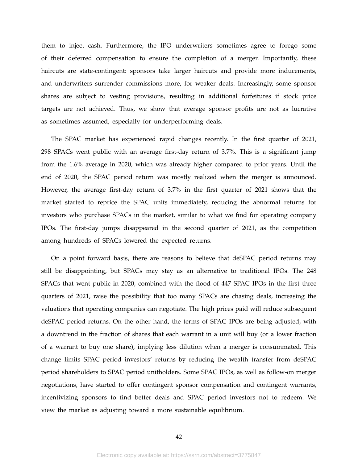them to inject cash. Furthermore, the IPO underwriters sometimes agree to forego some of their deferred compensation to ensure the completion of a merger. Importantly, these haircuts are state-contingent: sponsors take larger haircuts and provide more inducements, and underwriters surrender commissions more, for weaker deals. Increasingly, some sponsor shares are subject to vesting provisions, resulting in additional forfeitures if stock price targets are not achieved. Thus, we show that average sponsor profits are not as lucrative as sometimes assumed, especially for underperforming deals.

The SPAC market has experienced rapid changes recently. In the first quarter of 2021, 298 SPACs went public with an average first-day return of 3.7%. This is a significant jump from the 1.6% average in 2020, which was already higher compared to prior years. Until the end of 2020, the SPAC period return was mostly realized when the merger is announced. However, the average first-day return of 3.7% in the first quarter of 2021 shows that the market started to reprice the SPAC units immediately, reducing the abnormal returns for investors who purchase SPACs in the market, similar to what we find for operating company IPOs. The first-day jumps disappeared in the second quarter of 2021, as the competition among hundreds of SPACs lowered the expected returns.

On a point forward basis, there are reasons to believe that deSPAC period returns may still be disappointing, but SPACs may stay as an alternative to traditional IPOs. The 248 SPACs that went public in 2020, combined with the flood of 447 SPAC IPOs in the first three quarters of 2021, raise the possibility that too many SPACs are chasing deals, increasing the valuations that operating companies can negotiate. The high prices paid will reduce subsequent deSPAC period returns. On the other hand, the terms of SPAC IPOs are being adjusted, with a downtrend in the fraction of shares that each warrant in a unit will buy (or a lower fraction of a warrant to buy one share), implying less dilution when a merger is consummated. This change limits SPAC period investors' returns by reducing the wealth transfer from deSPAC period shareholders to SPAC period unitholders. Some SPAC IPOs, as well as follow-on merger negotiations, have started to offer contingent sponsor compensation and contingent warrants, incentivizing sponsors to find better deals and SPAC period investors not to redeem. We view the market as adjusting toward a more sustainable equilibrium.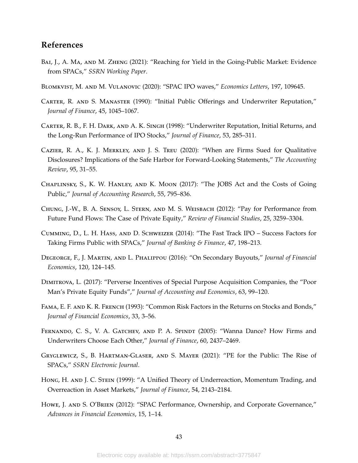## **References**

- <span id="page-43-4"></span>BAI, J., A. MA, AND M. ZHENG (2021): "Reaching for Yield in the Going-Public Market: Evidence from SPACs," *SSRN Working Paper*.
- <span id="page-43-10"></span>Blomkvist, M. and M. Vulanovic (2020): "SPAC IPO waves," *Economics Letters*, 197, 109645.
- <span id="page-43-13"></span>Carter, R. and S. Manaster (1990): "Initial Public Offerings and Underwriter Reputation," *Journal of Finance*, 45, 1045–1067.
- <span id="page-43-11"></span>Carter, R. B., F. H. Dark, and A. K. Singh (1998): "Underwriter Reputation, Initial Returns, and the Long-Run Performance of IPO Stocks," *Journal of Finance*, 53, 285–311.
- <span id="page-43-3"></span>Cazier, R. A., K. J. Merkley, and J. S. Treu (2020): "When are Firms Sued for Qualitative Disclosures? Implications of the Safe Harbor for Forward-Looking Statements," *The Accounting Review*, 95, 31–55.
- <span id="page-43-2"></span>Chaplinsky, S., K. W. Hanley, and K. Moon (2017): "The JOBS Act and the Costs of Going Public," *Journal of Accounting Research*, 55, 795–836.
- <span id="page-43-14"></span>Chung, J.-W., B. A. Sensoy, L. Stern, and M. S. Weisbach (2012): "Pay for Performance from Future Fund Flows: The Case of Private Equity," *Review of Financial Studies*, 25, 3259–3304.
- <span id="page-43-7"></span>Cumming, D., L. H. Hass, and D. Schweizer (2014): "The Fast Track IPO – Success Factors for Taking Firms Public with SPACs," *Journal of Banking & Finance*, 47, 198–213.
- <span id="page-43-1"></span>Degeorge, F., J. Martin, and L. Phalippou (2016): "On Secondary Buyouts," *Journal of Financial Economics*, 120, 124–145.
- <span id="page-43-0"></span>Dimitrova, L. (2017): "Perverse Incentives of Special Purpose Acquisition Companies, the "Poor Man's Private Equity Funds"," *Journal of Accounting and Economics*, 63, 99–120.
- <span id="page-43-8"></span>Fama, E. F. and K. R. French (1993): "Common Risk Factors in the Returns on Stocks and Bonds," *Journal of Financial Economics*, 33, 3–56.
- <span id="page-43-12"></span>FERNANDO, C. S., V. A. GATCHEV, AND P. A. SPINDT (2005): "Wanna Dance? How Firms and Underwriters Choose Each Other," *Journal of Finance*, 60, 2437–2469.
- <span id="page-43-5"></span>Gryglewicz, S., B. Hartman-Glaser, and S. Mayer (2021): "PE for the Public: The Rise of SPACs," *SSRN Electronic Journal*.
- <span id="page-43-9"></span>Hong, H. AND J. C. STEIN (1999): "A Unified Theory of Underreaction, Momentum Trading, and Overreaction in Asset Markets," *Journal of Finance*, 54, 2143–2184.
- <span id="page-43-6"></span>Howe, J. and S. O'Brien (2012): "SPAC Performance, Ownership, and Corporate Governance," *Advances in Financial Economics*, 15, 1–14.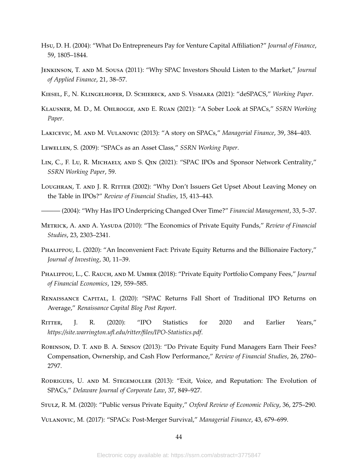- <span id="page-44-9"></span>Hsu, D. H. (2004): "What Do Entrepreneurs Pay for Venture Capital Affiliation?" *Journal of Finance*, 59, 1805–1844.
- <span id="page-44-2"></span>Jenkinson, T. and M. Sousa (2011): "Why SPAC Investors Should Listen to the Market," *Journal of Applied Finance*, 21, 38–57.
- <span id="page-44-10"></span>Kiesel, F., N. Klingelhofer, D. Schiereck, and S. Vismara (2021): "deSPACS," *Working Paper*.
- <span id="page-44-1"></span>Klausner, M. D., M. Ohlrogge, and E. Ruan (2021): "A Sober Look at SPACs," *SSRN Working Paper*.
- <span id="page-44-17"></span>Lakicevic, M. and M. Vulanovic (2013): "A story on SPACs," *Managerial Finance*, 39, 384–403.

<span id="page-44-4"></span>Lewellen, S. (2009): "SPACs as an Asset Class," *SSRN Working Paper*.

- <span id="page-44-13"></span>Lin, C., F. Lu, R. Michaely, and S. Qin (2021): "SPAC IPOs and Sponsor Network Centrality," *SSRN Working Paper*, 59.
- <span id="page-44-14"></span>Loughran, T. and J. R. Ritter (2002): "Why Don't Issuers Get Upset About Leaving Money on the Table in IPOs?" *Review of Financial Studies*, 15, 413–443.
- <span id="page-44-12"></span>——— (2004): "Why Has IPO Underpricing Changed Over Time?" *Financial Management*, 33, 5–37.
- <span id="page-44-7"></span>Metrick, A. and A. Yasuda (2010): "The Economics of Private Equity Funds," *Review of Financial Studies*, 23, 2303–2341.
- <span id="page-44-16"></span>Phalippou, L. (2020): "An Inconvenient Fact: Private Equity Returns and the Billionaire Factory," *Journal of Investing*, 30, 11–39.
- <span id="page-44-8"></span>Phalippou, L., C. Rauch, and M. Umber (2018): "Private Equity Portfolio Company Fees," *Journal of Financial Economics*, 129, 559–585.
- <span id="page-44-3"></span>Renaissance Capital, I. (2020): "SPAC Returns Fall Short of Traditional IPO Returns on Average," *Renaissance Capital Blog Post Report*.
- <span id="page-44-0"></span>RITTER, J. R. (2020): "IPO Statistics for 2020 and Earlier Years," *https://site.warrington.ufl.edu/ritter/files/IPO-Statistics.pdf*.
- <span id="page-44-15"></span>Robinson, D. T. and B. A. Sensoy (2013): "Do Private Equity Fund Managers Earn Their Fees? Compensation, Ownership, and Cash Flow Performance," *Review of Financial Studies*, 26, 2760– 2797.
- <span id="page-44-6"></span>RODRIGUES, U. AND M. STEGEMOLLER (2013): "Exit, Voice, and Reputation: The Evolution of SPACs," *Delaware Journal of Corporate Law*, 37, 849–927.
- <span id="page-44-5"></span>Stulz, R. M. (2020): "Public versus Private Equity," *Oxford Review of Economic Policy*, 36, 275–290.

<span id="page-44-11"></span>Vulanovic, M. (2017): "SPACs: Post-Merger Survival," *Managerial Finance*, 43, 679–699.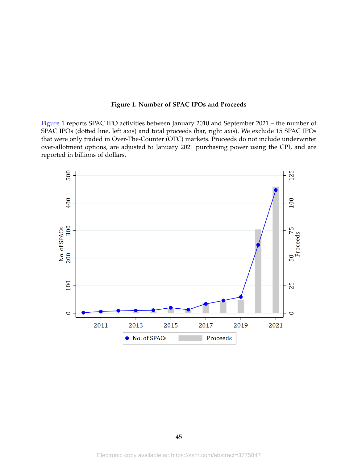#### **Figure 1. Number of SPAC IPOs and Proceeds**

<span id="page-45-0"></span>[Figure 1](#page-45-0) reports SPAC IPO activities between January 2010 and September 2021 – the number of SPAC IPOs (dotted line, left axis) and total proceeds (bar, right axis). We exclude 15 SPAC IPOs that were only traded in Over-The-Counter (OTC) markets. Proceeds do not include underwriter over-allotment options, are adjusted to January 2021 purchasing power using the CPI, and are reported in billions of dollars.

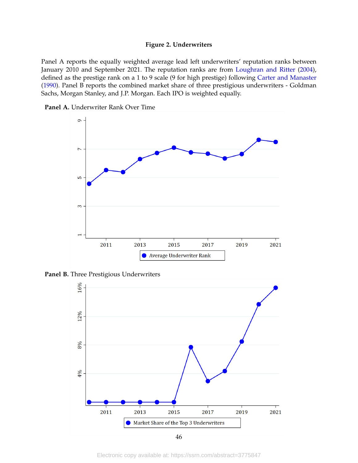#### **Figure 2. Underwriters**

<span id="page-46-0"></span>Panel A reports the equally weighted average lead left underwriters' reputation ranks between January 2010 and September 2021. The reputation ranks are from [Loughran and Ritter](#page-44-12) [\(2004\)](#page-44-12), defined as the prestige rank on a 1 to 9 scale (9 for high prestige) following [Carter and Manaster](#page-43-13) [\(1990\)](#page-43-13). Panel B reports the combined market share of three prestigious underwriters - Goldman Sachs, Morgan Stanley, and J.P. Morgan. Each IPO is weighted equally.





**Panel B.** Three Prestigious Underwriters



Electronic copy available at: https://ssrn.com/abstract=3775847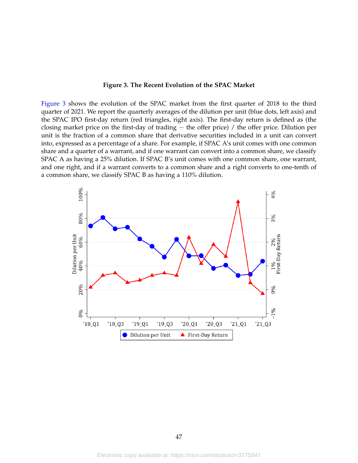#### **Figure 3. The Recent Evolution of the SPAC Market**

<span id="page-47-0"></span>[Figure 3](#page-47-0) shows the evolution of the SPAC market from the first quarter of 2018 to the third quarter of 2021. We report the quarterly averages of the dilution per unit (blue dots, left axis) and the SPAC IPO first-day return (red triangles, right axis). The first-day return is defined as (the closing market price on the first-day of trading − the offer price) / the offer price. Dilution per unit is the fraction of a common share that derivative securities included in a unit can convert into, expressed as a percentage of a share. For example, if SPAC A's unit comes with one common share and a quarter of a warrant, and if one warrant can convert into a common share, we classify SPAC A as having a 25% dilution. If SPAC B's unit comes with one common share, one warrant, and one right, and if a warrant converts to a common share and a right converts to one-tenth of a common share, we classify SPAC B as having a 110% dilution.

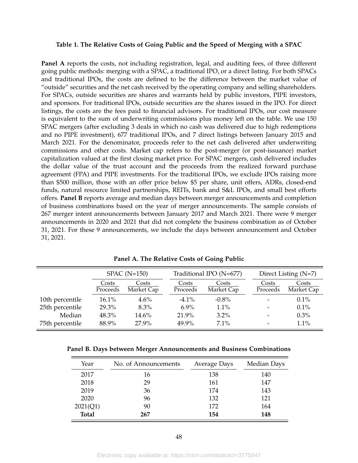#### <span id="page-48-0"></span>**Table 1. The Relative Costs of Going Public and the Speed of Merging with a SPAC**

Panel A reports the costs, not including registration, legal, and auditing fees, of three different going public methods: merging with a SPAC, a traditional IPO, or a direct listing. For both SPACs and traditional IPOs, the costs are defined to be the difference between the market value of "outside" securities and the net cash received by the operating company and selling shareholders. For SPACs, outside securities are shares and warrants held by public investors, PIPE investors, and sponsors. For traditional IPOs, outside securities are the shares issued in the IPO. For direct listings, the costs are the fees paid to financial advisors. For traditional IPOs, our cost measure is equivalent to the sum of underwriting commissions plus money left on the table. We use 150 SPAC mergers (after excluding 3 deals in which no cash was delivered due to high redemptions and no PIPE investment), 677 traditional IPOs, and 7 direct listings between January 2015 and March 2021. For the denominator, proceeds refer to the net cash delivered after underwriting commissions and other costs. Market cap refers to the post-merger (or post-issuance) market capitalization valued at the first closing market price. For SPAC mergers, cash delivered includes the dollar value of the trust account and the proceeds from the realized forward purchase agreement (FPA) and PIPE investments. For the traditional IPOs, we exclude IPOs raising more than \$500 million, those with an offer price below \$5 per share, unit offers, ADRs, closed-end funds, natural resource limited partnerships, REITs, bank and S&L IPOs, and small best efforts offers. **Panel B** reports average and median days between merger announcements and completion of business combinations based on the year of merger announcements. The sample consists of 267 merger intent announcements between January 2017 and March 2021. There were 9 merger announcements in 2020 and 2021 that did not complete the business combination as of October 31, 2021. For these 9 announcements, we include the days between announcement and October 31, 2021.

|                 | $SPACE (N=150)$   |                     |                   | Traditional IPO (N=677) |                     |  | Direct Listing $(N=7)$   |                     |  |
|-----------------|-------------------|---------------------|-------------------|-------------------------|---------------------|--|--------------------------|---------------------|--|
|                 | Costs<br>Proceeds | Costs<br>Market Cap | Costs<br>Proceeds |                         | Costs<br>Market Cap |  | Costs<br>Proceeds        | Costs<br>Market Cap |  |
| 10th percentile | 16.1%             | 4.6%                | $-4.1\%$          |                         | $-0.8\%$            |  | $\overline{\phantom{a}}$ | 0.1%                |  |
| 25th percentile | 29.3%             | $8.3\%$             | $6.9\%$           |                         | $1.1\%$             |  | $\overline{\phantom{a}}$ | 0.1%                |  |
| Median          | 48.3%             | 14.6%               | 21.9%             |                         | $3.2\%$             |  | $\overline{\phantom{a}}$ | $0.3\%$             |  |
| 75th percentile | 88.9%             | 27.9%               | 49.9%             |                         | $7.1\%$             |  | $\overline{\phantom{a}}$ | 1.1%                |  |

**Panel A. The Relative Costs of Going Public**

|  |  |  | Panel B. Days between Merger Announcements and Business Combinations |  |  |  |
|--|--|--|----------------------------------------------------------------------|--|--|--|
|--|--|--|----------------------------------------------------------------------|--|--|--|

| Year         | No. of Announcements | <b>Average Days</b> | Median Days |
|--------------|----------------------|---------------------|-------------|
| 2017         | 16                   | 138                 | 140         |
| 2018         | 29                   | 161                 | 147         |
| 2019         | 36                   | 174                 | 143         |
| 2020         | 96                   | 132                 | 121         |
| 2021(Q1)     | 90                   | 172                 | 164         |
| <b>Total</b> | 267                  | 154                 | 148         |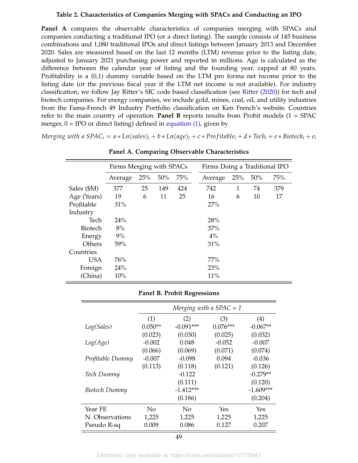#### **Table 2. Characteristics of Companies Merging with SPACs and Conducting an IPO**

<span id="page-49-0"></span>**Panel A** compares the observable characteristics of companies merging with SPACs and companies conducting a traditional IPO (or a direct listing). The sample consists of 145 business combinations and 1,080 traditional IPOs and direct listings between January 2013 and December 2020. Sales are measured based on the last 12 months (LTM) revenue prior to the listing date, adjusted to January 2021 purchasing power and reported in millions. Age is calculated as the difference between the calendar year of listing and the founding year, capped at 80 years. Profitability is a (0,1) dummy variable based on the LTM pro forma net income prior to the listing date (or the previous fiscal year if the LTM net income is not available). For industry classification, we follow Jay Ritter's SIC code based classification (see [Ritter](#page-44-0) [\(2020\)](#page-44-0)) for tech and biotech companies. For energy companies, we include gold, mines, coal, oil, and utility industries from the Fama-French 49 Industry Portfolio classification on Ken French's website. Countries refer to the main country of operation. **Panel B** reports results from Probit models  $(1 = SPAC)$ merger,  $0 = \text{IPO}$  or direct listing) defined in [equation \(1\),](#page-17-2) given by

Merging with a SPAC<sub>i</sub> =  $a * Ln(sales)_i + b * Ln(age)_i + c * Profitable_i + d * Tech_i + e * Biotechn_i + e_i$ 

|             | Firms Merging with SPACs |     |     | Firms Doing a Traditional IPO |         |     |     |     |
|-------------|--------------------------|-----|-----|-------------------------------|---------|-----|-----|-----|
|             | Average                  | 25% | 50% | 75%                           | Average | 25% | 50% | 75% |
| Sales (\$M) | 377                      | 25  | 149 | 424                           | 742     | 1   | 74  | 379 |
| Age (Years) | 19                       | 6   | 11  | 25                            | 16      | 6   | 10  | 17  |
| Profitable  | 31%                      |     |     |                               | 27%     |     |     |     |
| Industry    |                          |     |     |                               |         |     |     |     |
| Tech        | 24%                      |     |     |                               | 28%     |     |     |     |
| Biotech     | 8%                       |     |     |                               | 37%     |     |     |     |
| Energy      | 9%                       |     |     |                               | $4\%$   |     |     |     |
| Others      | 59%                      |     |     |                               | 31%     |     |     |     |
| Countries   |                          |     |     |                               |         |     |     |     |
| <b>USA</b>  | 76%                      |     |     |                               | 77%     |     |     |     |
| Foreign     | 24%                      |     |     |                               | 23%     |     |     |     |
| (China)     | 10%                      |     |     |                               | 11%     |     |     |     |

**Panel A. Comparing Observable Characteristics**

#### **Panel B. Probit Regressions**

|                  | Merging with a $SPAC = 1$ |             |            |             |  |  |  |
|------------------|---------------------------|-------------|------------|-------------|--|--|--|
|                  | (1)                       | (2)         | (3)        | (4)         |  |  |  |
| Log(Sales)       | $0.050**$                 | $-0.091***$ | $0.076***$ | $-0.067**$  |  |  |  |
|                  | (0.023)                   | (0.030)     | (0.025)    | (0.032)     |  |  |  |
| Log(Age)         | $-0.002$                  | 0.048       | $-0.052$   | $-0.007$    |  |  |  |
|                  | (0.066)                   | (0.069)     | (0.071)    | (0.074)     |  |  |  |
| Profitable Dummy | $-0.007$                  | $-0.098$    | 0.094      | $-0.036$    |  |  |  |
|                  | (0.113)                   | (0.118)     | (0.121)    | (0.126)     |  |  |  |
| Tech Dummy       |                           | $-0.122$    |            | $-0.279**$  |  |  |  |
|                  |                           | (0.111)     |            | (0.120)     |  |  |  |
| Biotech Dummy    |                           | $-1.412***$ |            | $-1.609***$ |  |  |  |
|                  |                           | (0.186)     |            | (0.204)     |  |  |  |
| Year FE          | No                        | No          | Yes        | Yes         |  |  |  |
| N. Observations  | 1,225                     | 1,225       | 1,225      | 1,225       |  |  |  |
| Pseudo R-sq      | 0.009                     | 0.086       | 0.127      | 0.207       |  |  |  |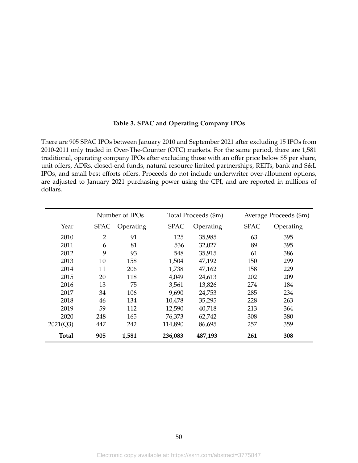#### **Table 3. SPAC and Operating Company IPOs**

<span id="page-50-0"></span>There are 905 SPAC IPOs between January 2010 and September 2021 after excluding 15 IPOs from 2010-2011 only traded in Over-The-Counter (OTC) markets. For the same period, there are 1,581 traditional, operating company IPOs after excluding those with an offer price below \$5 per share, unit offers, ADRs, closed-end funds, natural resource limited partnerships, REITs, bank and S&L IPOs, and small best efforts offers. Proceeds do not include underwriter over-allotment options, are adjusted to January 2021 purchasing power using the CPI, and are reported in millions of dollars.

|              |                | Number of IPOs |  | Total Proceeds (\$m) |           |  |             | Average Proceeds (\$m) |
|--------------|----------------|----------------|--|----------------------|-----------|--|-------------|------------------------|
| Year         | <b>SPAC</b>    | Operating      |  | <b>SPAC</b>          | Operating |  | <b>SPAC</b> | Operating              |
| 2010         | $\overline{2}$ | 91             |  | 125                  | 35,985    |  | 63          | 395                    |
| 2011         | 6              | 81             |  | 536                  | 32,027    |  | 89          | 395                    |
| 2012         | 9              | 93             |  | 548                  | 35,915    |  | 61          | 386                    |
| 2013         | 10             | 158            |  | 1,504                | 47,192    |  | 150         | 299                    |
| 2014         | 11             | 206            |  | 1,738                | 47,162    |  | 158         | 229                    |
| 2015         | 20             | 118            |  | 4,049                | 24,613    |  | 202         | 209                    |
| 2016         | 13             | 75             |  | 3,561                | 13,826    |  | 274         | 184                    |
| 2017         | 34             | 106            |  | 9,690                | 24,753    |  | 285         | 234                    |
| 2018         | 46             | 134            |  | 10,478               | 35,295    |  | 228         | 263                    |
| 2019         | 59             | 112            |  | 12,590               | 40,718    |  | 213         | 364                    |
| 2020         | 248            | 165            |  | 76,373               | 62,742    |  | 308         | 380                    |
| 2021(Q3)     | 447            | 242            |  | 114,890              | 86,695    |  | 257         | 359                    |
| <b>Total</b> | 905            | 1,581          |  | 236,083              | 487,193   |  | 261         | 308                    |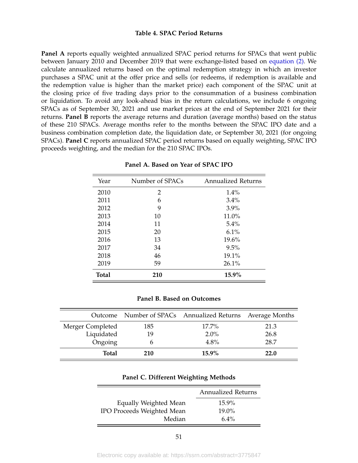#### **Table 4. SPAC Period Returns**

<span id="page-51-0"></span>**Panel A** reports equally weighted annualized SPAC period returns for SPACs that went public between January 2010 and December 2019 that were exchange-listed based on [equation \(2\).](#page-21-1) We calculate annualized returns based on the optimal redemption strategy in which an investor purchases a SPAC unit at the offer price and sells (or redeems, if redemption is available and the redemption value is higher than the market price) each component of the SPAC unit at the closing price of five trading days prior to the consummation of a business combination or liquidation. To avoid any look-ahead bias in the return calculations, we include 6 ongoing SPACs as of September 30, 2021 and use market prices at the end of September 2021 for their returns. **Panel B** reports the average returns and duration (average months) based on the status of these 210 SPACs. Average months refer to the months between the SPAC IPO date and a business combination completion date, the liquidation date, or September 30, 2021 (for ongoing SPACs). **Panel C** reports annualized SPAC period returns based on equally weighting, SPAC IPO proceeds weighting, and the median for the 210 SPAC IPOs.

| Year         | Number of SPACs | <b>Annualized Returns</b> |
|--------------|-----------------|---------------------------|
| 2010         | 2               | 1.4%                      |
| 2011         | 6               | $3.4\%$                   |
| 2012         | 9               | $3.9\%$                   |
| 2013         | 10              | 11.0%                     |
| 2014         | 11              | 5.4%                      |
| 2015         | 20              | 6.1%                      |
| 2016         | 13              | 19.6%                     |
| 2017         | 34              | $9.5\%$                   |
| 2018         | 46              | 19.1%                     |
| 2019         | 59              | 26.1%                     |
| <b>Total</b> | 210             | 15.9%                     |

#### **Panel A. Based on Year of SPAC IPO**

#### **Panel B. Based on Outcomes**

|                  |     | Outcome Number of SPACs Annualized Returns | Average Months |
|------------------|-----|--------------------------------------------|----------------|
| Merger Completed | 185 | $17.7\%$                                   | 21.3           |
| Liquidated       | 19  | $2.0\%$                                    | 26.8           |
| Ongoing          |     | 4.8%                                       | 28.7           |
| <b>Total</b>     | 210 | $15.9\%$                                   | 22.0           |

#### **Panel C. Different Weighting Methods**

|                            | <b>Annualized Returns</b> |
|----------------------------|---------------------------|
| Equally Weighted Mean      | $15.9\%$                  |
| IPO Proceeds Weighted Mean | $19.0\%$                  |
| Median                     | $6.4\%$                   |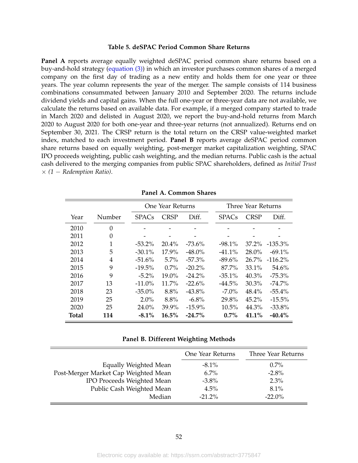#### **Table 5. deSPAC Period Common Share Returns**

<span id="page-52-0"></span>**Panel A** reports average equally weighted deSPAC period common share returns based on a buy-and-hold strategy [\(equation \(3\)\)](#page-23-1) in which an investor purchases common shares of a merged company on the first day of trading as a new entity and holds them for one year or three years. The year column represents the year of the merger. The sample consists of 114 business combinations consummated between January 2010 and September 2020. The returns include dividend yields and capital gains. When the full one-year or three-year data are not available, we calculate the returns based on available data. For example, if a merged company started to trade in March 2020 and delisted in August 2020, we report the buy-and-hold returns from March 2020 to August 2020 for both one-year and three-year returns (not annualized). Returns end on September 30, 2021. The CRSP return is the total return on the CRSP value-weighted market index, matched to each investment period. **Panel B** reports average deSPAC period common share returns based on equally weighting, post-merger market capitalization weighting, SPAC IPO proceeds weighting, public cash weighting, and the median returns. Public cash is the actual cash delivered to the merging companies from public SPAC shareholders, defined as *Initial Trust*  $\times$  (1 – Redemption Ratio).

|              |          |              | One Year Returns |           |  |              | Three Year Returns |            |
|--------------|----------|--------------|------------------|-----------|--|--------------|--------------------|------------|
| Year         | Number   | <b>SPACs</b> | <b>CRSP</b>      | Diff.     |  | <b>SPACs</b> | <b>CRSP</b>        | Diff.      |
| 2010         | $\Omega$ |              |                  |           |  |              |                    |            |
| 2011         | 0        | -            |                  |           |  |              |                    |            |
| 2012         | 1        | $-53.2\%$    | $20.4\%$         | $-73.6\%$ |  | $-98.1\%$    | $37.2\%$           | $-135.3\%$ |
| 2013         | 5        | $-30.1%$     | 17.9%            | $-48.0\%$ |  | $-41.1%$     | 28.0%              | $-69.1\%$  |
| 2014         | 4        | $-51.6\%$    | $5.7\%$          | $-57.3\%$ |  | $-89.6%$     | $26.7\%$           | $-116.2\%$ |
| 2015         | 9        | $-19.5\%$    | $0.7\%$          | $-20.2\%$ |  | 87.7%        | $33.1\%$           | 54.6%      |
| 2016         | 9        | $-5.2\%$     | 19.0%            | $-24.2%$  |  | $-35.1%$     | 40.3%              | $-75.3\%$  |
| 2017         | 13       | $-11.0\%$    | $11.7\%$         | $-22.6%$  |  | $-44.5\%$    | $30.3\%$           | $-74.7\%$  |
| 2018         | 23       | $-35.0\%$    | 8.8%             | $-43.8\%$ |  | $-7.0\%$     | 48.4%              | $-55.4\%$  |
| 2019         | 25       | $2.0\%$      | 8.8%             | $-6.8\%$  |  | 29.8%        | $45.2\%$           | $-15.5\%$  |
| 2020         | 25       | 24.0%        | 39.9%            | $-15.9\%$ |  | $10.5\%$     | 44.3%              | $-33.8%$   |
| <b>Total</b> | 114      | $-8.1\%$     | 16.5%            | $-24.7\%$ |  | 0.7%         | 41.1%              | $-40.4\%$  |

**Panel A. Common Shares**

#### **Panel B. Different Weighting Methods**

|                                      | One Year Returns | Three Year Returns |
|--------------------------------------|------------------|--------------------|
| Equally Weighted Mean                | $-8.1\%$         | $0.7\%$            |
| Post-Merger Market Cap Weighted Mean | $6.7\%$          | $-2.8\%$           |
| IPO Proceeds Weighted Mean           | $-3.8\%$         | 2.3%               |
| Public Cash Weighted Mean            | 4.5%             | 8.1%               |
| Median                               | $-21.2\%$        | $-22.0\%$          |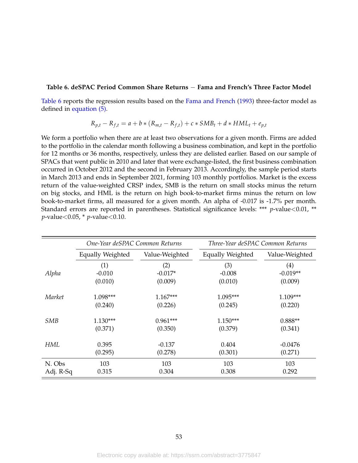#### <span id="page-53-0"></span>**Table 6. deSPAC Period Common Share Returns** − **Fama and French's Three Factor Model**

[Table 6](#page-53-0) reports the regression results based on the [Fama and French](#page-43-8) [\(1993\)](#page-43-8) three-factor model as defined in [equation \(5\).](#page-26-0)

$$
R_{p,t} - R_{f,t} = a + b * (R_{m,t} - R_{f,t}) + c * SMB_t + d * HML_t + e_{p,t}
$$

We form a portfolio when there are at least two observations for a given month. Firms are added to the portfolio in the calendar month following a business combination, and kept in the portfolio for 12 months or 36 months, respectively, unless they are delisted earlier. Based on our sample of SPACs that went public in 2010 and later that were exchange-listed, the first business combination occurred in October 2012 and the second in February 2013. Accordingly, the sample period starts in March 2013 and ends in September 2021, forming 103 monthly portfolios. Market is the excess return of the value-weighted CRSP index, SMB is the return on small stocks minus the return on big stocks, and HML is the return on high book-to-market firms minus the return on low book-to-market firms, all measured for a given month. An alpha of -0.017 is -1.7% per month. Standard errors are reported in parentheses. Statistical significance levels: \*\*\* *p*-value<0.01, \*\* *p*-value<0.05, \* *p*-value<0.10.

|            | One-Year deSPAC Common Returns |                | Three-Year deSPAC Common Returns |                   |  |
|------------|--------------------------------|----------------|----------------------------------|-------------------|--|
|            | Equally Weighted               | Value-Weighted | <b>Equally Weighted</b>          | Value-Weighted    |  |
|            | (1)                            | (2)            | (3)                              | $\left( 4\right)$ |  |
| Alpha      | $-0.010$                       | $-0.017*$      | $-0.008$                         | $-0.019**$        |  |
|            | (0.010)                        | (0.009)        | (0.010)                          | (0.009)           |  |
| Market     | 1.098***                       | $1.167***$     | $1.095***$                       | 1.109***          |  |
|            | (0.240)                        | (0.226)        | (0.245)                          | (0.220)           |  |
| <b>SMB</b> | $1.130***$                     | $0.961***$     | $1.150***$                       | $0.888**$         |  |
|            | (0.371)                        | (0.350)        | (0.379)                          | (0.341)           |  |
| <b>HML</b> | 0.395                          | $-0.137$       | 0.404                            | $-0.0476$         |  |
|            | (0.295)                        | (0.278)        | (0.301)                          | (0.271)           |  |
| N. Obs     | 103                            | 103            | 103                              | 103               |  |
| Adj. R-Sq  | 0.315                          | 0.304          | 0.308                            | 0.292             |  |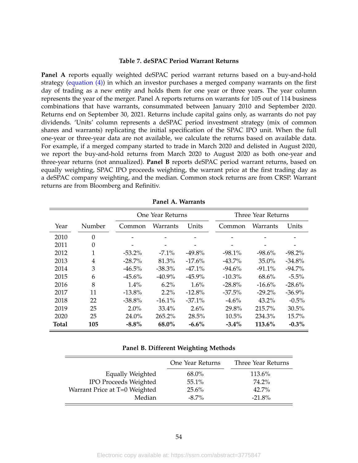#### **Table 7. deSPAC Period Warrant Returns**

<span id="page-54-0"></span>**Panel A** reports equally weighted deSPAC period warrant returns based on a buy-and-hold strategy [\(equation \(4\)\)](#page-23-2) in which an investor purchases a merged company warrants on the first day of trading as a new entity and holds them for one year or three years. The year column represents the year of the merger. Panel A reports returns on warrants for 105 out of 114 business combinations that have warrants, consummated between January 2010 and September 2020. Returns end on September 30, 2021. Returns include capital gains only, as warrants do not pay dividends. 'Units' column represents a deSPAC period investment strategy (mix of common shares and warrants) replicating the initial specification of the SPAC IPO unit. When the full one-year or three-year data are not available, we calculate the returns based on available data. For example, if a merged company started to trade in March 2020 and delisted in August 2020, we report the buy-and-hold returns from March 2020 to August 2020 as both one-year and three-year returns (not annualized). **Panel B** reports deSPAC period warrant returns, based on equally weighting, SPAC IPO proceeds weighting, the warrant price at the first trading day as a deSPAC company weighting, and the median. Common stock returns are from CRSP. Warrant returns are from Bloomberg and Refinitiv.

|              |          |           | One Year Returns |           |           | Three Year Returns |           |
|--------------|----------|-----------|------------------|-----------|-----------|--------------------|-----------|
| Year         | Number   | Common    | Warrants         | Units     | Common    | Warrants           | Units     |
| 2010         | $\theta$ |           |                  |           |           |                    |           |
| 2011         | $\theta$ |           |                  |           |           |                    |           |
| 2012         | 1        | $-53.2\%$ | $-7.1\%$         | $-49.8\%$ | $-98.1\%$ | $-98.6\%$          | $-98.2\%$ |
| 2013         | 4        | $-28.7\%$ | 81.3%            | $-17.6\%$ | $-43.7\%$ | $35.0\%$           | $-34.8\%$ |
| 2014         | 3        | $-46.5\%$ | $-38.3\%$        | $-47.1%$  | $-94.6\%$ | $-91.1%$           | $-94.7\%$ |
| 2015         | 6        | $-45.6\%$ | $-40.9\%$        | $-45.9\%$ | $-10.3\%$ | 68.6%              | $-5.5\%$  |
| 2016         | 8        | 1.4%      | $6.2\%$          | $1.6\%$   | $-28.8\%$ | $-16.6%$           | $-28.6\%$ |
| 2017         | 11       | $-13.8%$  | $2.2\%$          | $-12.8%$  | $-37.5%$  | $-29.2\%$          | $-36.9%$  |
| 2018         | 22       | $-38.8%$  | $-16.1\%$        | $-37.1\%$ | $-4.6%$   | $43.2\%$           | $-0.5\%$  |
| 2019         | 25       | 2.0%      | 33.4%            | 2.6%      | 29.8%     | 215.7%             | 30.5%     |
| 2020         | 25       | 24.0%     | 265.2%           | 28.5%     | 10.5%     | 234.3%             | 15.7%     |
| <b>Total</b> | 105      | $-8.8\%$  | $68.0\%$         | $-6.6\%$  | $-3.4\%$  | 113.6%             | $-0.3\%$  |

**Panel A. Warrants**

#### **Panel B. Different Weighting Methods**

|                               | One Year Returns | Three Year Returns |
|-------------------------------|------------------|--------------------|
| Equally Weighted              | 68.0%            | 113.6%             |
| <b>IPO Proceeds Weighted</b>  | $55.1\%$         | 74.2%              |
| Warrant Price at T=0 Weighted | 25.6%            | 42.7%              |
| Median                        | $-8.7\%$         | $-21.8\%$          |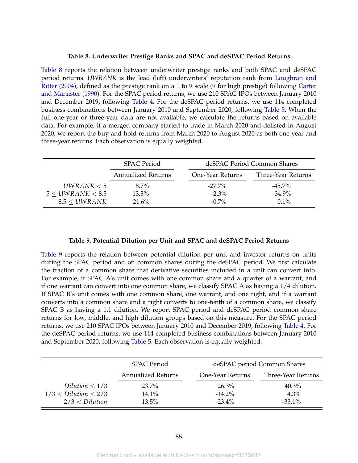#### **Table 8. Underwriter Prestige Ranks and SPAC and deSPAC Period Returns**

<span id="page-55-0"></span>[Table 8](#page-55-0) reports the relation between underwriter prestige ranks and both SPAC and deSPAC period returns. *UWRANK* is the lead (left) underwriters' reputation rank from [Loughran and](#page-44-12) [Ritter](#page-44-12) [\(2004\)](#page-44-12), defined as the prestige rank on a 1 to 9 scale (9 for high prestige) following [Carter](#page-43-13) [and Manaster](#page-43-13) [\(1990\)](#page-43-13). For the SPAC period returns, we use 210 SPAC IPOs between January 2010 and December 2019, following [Table 4.](#page-51-0) For the deSPAC period returns, we use 114 completed business combinations between January 2010 and September 2020, following [Table 5.](#page-52-0) When the full one-year or three-year data are not available, we calculate the returns based on available data. For example, if a merged company started to trade in March 2020 and delisted in August 2020, we report the buy-and-hold returns from March 2020 to August 2020 as both one-year and three-year returns. Each observation is equally weighted.

|                  | <b>SPAC</b> Period<br><b>Annualized Returns</b> |  |                  | deSPAC Period Common Shares |
|------------------|-------------------------------------------------|--|------------------|-----------------------------|
|                  |                                                 |  | One-Year Returns | Three-Year Returns          |
| UWRANK $<$ 5     | $8.7\%$                                         |  | $-27.7\%$        | $-45.7\%$                   |
| 5 < UWRANK < 8.5 | 13.3%                                           |  | $-2.3\%$         | $34.9\%$                    |
| 8.5 < UWRANK     | 21.6%                                           |  | $-0.7\%$         | $0.1\%$                     |

#### **Table 9. Potential Dilution per Unit and SPAC and deSPAC Period Returns**

<span id="page-55-1"></span>[Table 9](#page-55-1) reports the relation between potential dilution per unit and investor returns on units during the SPAC period and on common shares during the deSPAC period. We first calculate the fraction of a common share that derivative securities included in a unit can convert into. For example, if SPAC A's unit comes with one common share and a quarter of a warrant, and if one warrant can convert into one common share, we classify SPAC A as having a 1/4 dilution. If SPAC B's unit comes with one common share, one warrant, and one right, and if a warrant converts into a common share and a right converts to one-tenth of a common share, we classify SPAC B as having a 1.1 dilution. We report SPAC period and deSPAC period common share returns for low, middle, and high dilution groups based on this measure. For the SPAC period returns, we use 210 SPAC IPOs between January 2010 and December 2019, following [Table 4.](#page-51-0) For the deSPAC period returns, we use 114 completed business combinations between January 2010 and September 2020, following [Table 5.](#page-52-0) Each observation is equally weighted.

|                       | <b>SPAC Period</b>        |                  | deSPAC period Common Shares |
|-----------------------|---------------------------|------------------|-----------------------------|
|                       | <b>Annualized Returns</b> | One-Year Returns | Three-Year Returns          |
| Dilution $\leq 1/3$   | 23.7%                     | $26.3\%$         | $40.3\%$                    |
| 1/3 <  Dilution < 2/3 | $14.1\%$                  | $-14.2\%$        | $4.3\%$                     |
| 2/3 <  Dilution       | 13.5%                     | $-23.4\%$        | $-33.1\%$                   |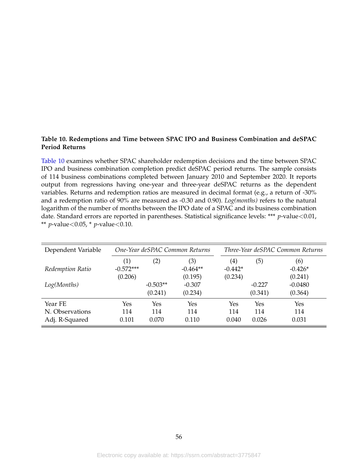### <span id="page-56-0"></span>**Table 10. Redemptions and Time between SPAC IPO and Business Combination and deSPAC Period Returns**

[Table 10](#page-56-0) examines whether SPAC shareholder redemption decisions and the time between SPAC IPO and business combination completion predict deSPAC period returns. The sample consists of 114 business combinations completed between January 2010 and September 2020. It reports output from regressions having one-year and three-year deSPAC returns as the dependent variables. Returns and redemption ratios are measured in decimal format (e.g., a return of -30% and a redemption ratio of 90% are measured as -0.30 and 0.90). *Log(months)* refers to the natural logarithm of the number of months between the IPO date of a SPAC and its business combination date. Standard errors are reported in parentheses. Statistical significance levels: \*\*\* *p*-value<0.01, \*\* *p*-value<0.05, \* *p*-value<0.10.

| Dependent Variable | One-Year deSPAC Common Returns |            |                   |                                |          | Three-Year deSPAC Common Returns |
|--------------------|--------------------------------|------------|-------------------|--------------------------------|----------|----------------------------------|
| Redemption Ratio   | (1)<br>$-0.572***$             | (2)        | (3)<br>$-0.464**$ | $\left( 4\right)$<br>$-0.442*$ | (5)      | (6)<br>$-0.426*$                 |
|                    | (0.206)                        |            | (0.195)           | (0.234)                        |          | (0.241)                          |
| Log(Months)        |                                | $-0.503**$ | $-0.307$          |                                | $-0.227$ | $-0.0480$                        |
|                    |                                | (0.241)    | (0.234)           |                                | (0.341)  | (0.364)                          |
| Year FE            | Yes                            | Yes        | Yes               | Yes                            | Yes      | Yes                              |
| N. Observations    | 114                            | 114        | 114               | 114                            | 114      | 114                              |
| Adj. R-Squared     | 0.101                          | 0.070      | 0.110             | 0.040                          | 0.026    | 0.031                            |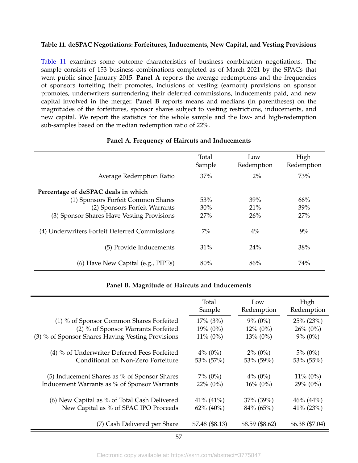### <span id="page-57-0"></span>**Table 11. deSPAC Negotiations: Forfeitures, Inducements, New Capital, and Vesting Provisions**

[Table 11](#page-57-0) examines some outcome characteristics of business combination negotiations. The sample consists of 153 business combinations completed as of March 2021 by the SPACs that went public since January 2015. **Panel A** reports the average redemptions and the frequencies of sponsors forfeiting their promotes, inclusions of vesting (earnout) provisions on sponsor promotes, underwriters surrendering their deferred commissions, inducements paid, and new capital involved in the merger. **Panel B** reports means and medians (in parentheses) on the magnitudes of the forfeitures, sponsor shares subject to vesting restrictions, inducements, and new capital. We report the statistics for the whole sample and the low- and high-redemption sub-samples based on the median redemption ratio of 22%.

|                                               | Total<br>Sample | Low<br>Redemption | High<br>Redemption |
|-----------------------------------------------|-----------------|-------------------|--------------------|
| Average Redemption Ratio                      | 37%             | 2%                | 73%                |
| Percentage of deSPAC deals in which           |                 |                   |                    |
| (1) Sponsors Forfeit Common Shares            | 53%             | 39%               | 66%                |
| (2) Sponsors Forfeit Warrants                 | $30\%$          | 21%               | 39%                |
| (3) Sponsor Shares Have Vesting Provisions    | 27%             | 26%               | 27%                |
| (4) Underwriters Forfeit Deferred Commissions | $7\%$           | $4\%$             | 9%                 |
| (5) Provide Inducements                       | 31%             | $24\%$            | 38%                |
| (6) Have New Capital (e.g., PIPEs)            | 80%             | 86%               | 74%                |

#### **Panel A. Frequency of Haircuts and Inducements**

#### **Panel B. Magnitude of Haircuts and Inducements**

|                                                   | Total<br>Sample | Low<br>Redemption | High<br>Redemption |
|---------------------------------------------------|-----------------|-------------------|--------------------|
| (1) % of Sponsor Common Shares Forfeited          | $17\%$ (3%)     | $9\% (0\%)$       | $25\%$ (23%)       |
| (2) % of Sponsor Warrants Forfeited               | $19\% (0\%)$    | $12\% (0\%)$      | $26\% (0\%)$       |
| (3) % of Sponsor Shares Having Vesting Provisions | $11\% (0\%)$    | $13\% (0\%)$      | $9\% (0\%)$        |
| (4) % of Underwriter Deferred Fees Forfeited      | $4\%$ (0%)      | $2\%$ (0%)        | $5\%$ (0%)         |
| Conditional on Non-Zero Forfeiture                | 53% (57%)       | 53% (59%)         | 53% (55%)          |
| (5) Inducement Shares as % of Sponsor Shares      | $7\%$ (0%)      | $4\%$ (0%)        | $11\% (0\%)$       |
| Inducement Warrants as % of Sponsor Warrants      | $22\%$ (0%)     | $16\% (0\%)$      | $29\% (0\%)$       |
| (6) New Capital as % of Total Cash Delivered      | 41% (41%)       | $37\%$ (39%)      | $46\% (44\%)$      |
| New Capital as % of SPAC IPO Proceeds             | $62\%$ (40%)    | 84% (65%)         | $41\%$ (23%)       |
| (7) Cash Delivered per Share                      | \$7.48 (\$8.13) | $$8.59$ (\$8.62)  | \$6.38 (\$7.04)    |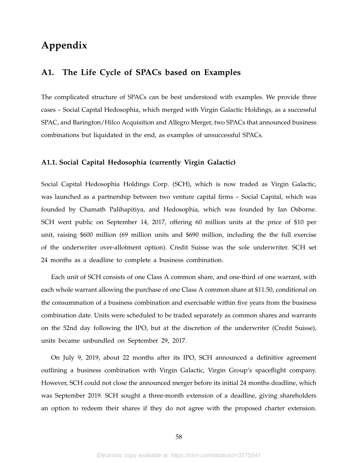## **Appendix**

## **A1. The Life Cycle of SPACs based on Examples**

The complicated structure of SPACs can be best understood with examples. We provide three cases – Social Capital Hedosophia, which merged with Virgin Galactic Holdings, as a successful SPAC, and Barington/Hilco Acquisition and Allegro Merger, two SPACs that announced business combinations but liquidated in the end, as examples of unsuccessful SPACs.

#### **A1.1. Social Capital Hedosophia (currently Virgin Galactic)**

Social Capital Hedosophia Holdings Corp. (SCH), which is now traded as Virgin Galactic, was launched as a partnership between two venture capital firms – Social Capital, which was founded by Chamath Palihapitiya, and Hedosophia, which was founded by Ian Osborne. SCH went public on September 14, 2017, offering 60 million units at the price of \$10 per unit, raising \$600 million (69 million units and \$690 million, including the the full exercise of the underwriter over-allotment option). Credit Suisse was the sole underwriter. SCH set 24 months as a deadline to complete a business combination.

Each unit of SCH consists of one Class A common share, and one-third of one warrant, with each whole warrant allowing the purchase of one Class A common share at \$11.50, conditional on the consummation of a business combination and exercisable within five years from the business combination date. Units were scheduled to be traded separately as common shares and warrants on the 52nd day following the IPO, but at the discretion of the underwriter (Credit Suisse), units became unbundled on September 29, 2017.

On July 9, 2019, about 22 months after its IPO, SCH announced a definitive agreement outlining a business combination with Virgin Galactic, Virgin Group's spaceflight company. However, SCH could not close the announced merger before its initial 24 months deadline, which was September 2019. SCH sought a three-month extension of a deadline, giving shareholders an option to redeem their shares if they do not agree with the proposed charter extension.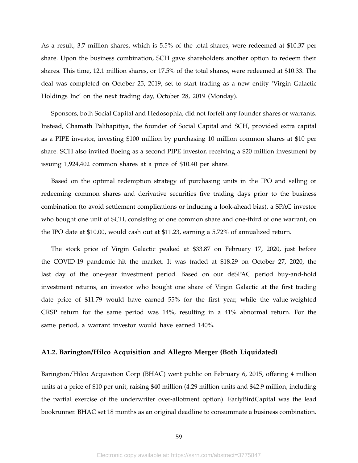As a result, 3.7 million shares, which is 5.5% of the total shares, were redeemed at \$10.37 per share. Upon the business combination, SCH gave shareholders another option to redeem their shares. This time, 12.1 million shares, or 17.5% of the total shares, were redeemed at \$10.33. The deal was completed on October 25, 2019, set to start trading as a new entity 'Virgin Galactic Holdings Inc' on the next trading day, October 28, 2019 (Monday).

Sponsors, both Social Capital and Hedosophia, did not forfeit any founder shares or warrants. Instead, Chamath Palihapitiya, the founder of Social Capital and SCH, provided extra capital as a PIPE investor, investing \$100 million by purchasing 10 million common shares at \$10 per share. SCH also invited Boeing as a second PIPE investor, receiving a \$20 million investment by issuing 1,924,402 common shares at a price of \$10.40 per share.

Based on the optimal redemption strategy of purchasing units in the IPO and selling or redeeming common shares and derivative securities five trading days prior to the business combination (to avoid settlement complications or inducing a look-ahead bias), a SPAC investor who bought one unit of SCH, consisting of one common share and one-third of one warrant, on the IPO date at \$10.00, would cash out at \$11.23, earning a 5.72% of annualized return.

The stock price of Virgin Galactic peaked at \$33.87 on February 17, 2020, just before the COVID-19 pandemic hit the market. It was traded at \$18.29 on October 27, 2020, the last day of the one-year investment period. Based on our deSPAC period buy-and-hold investment returns, an investor who bought one share of Virgin Galactic at the first trading date price of \$11.79 would have earned 55% for the first year, while the value-weighted CRSP return for the same period was 14%, resulting in a 41% abnormal return. For the same period, a warrant investor would have earned 140%.

#### **A1.2. Barington/Hilco Acquisition and Allegro Merger (Both Liquidated)**

Barington/Hilco Acquisition Corp (BHAC) went public on February 6, 2015, offering 4 million units at a price of \$10 per unit, raising \$40 million (4.29 million units and \$42.9 million, including the partial exercise of the underwriter over-allotment option). EarlyBirdCapital was the lead bookrunner. BHAC set 18 months as an original deadline to consummate a business combination.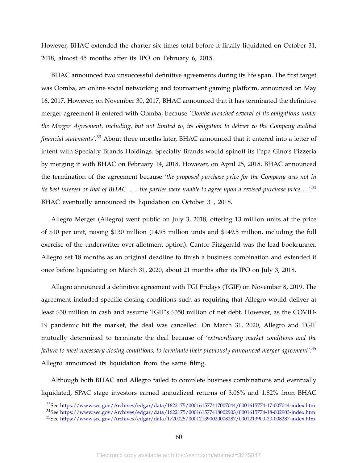However, BHAC extended the charter six times total before it finally liquidated on October 31, 2018, almost 45 months after its IPO on February 6, 2015.

BHAC announced two unsuccessful definitive agreements during its life span. The first target was Oomba, an online social networking and tournament gaming platform, announced on May 16, 2017. However, on November 30, 2017, BHAC announced that it has terminated the definitive merger agreement it entered with Oomba, because *'Oomba breached several of its obligations under the Merger Agreement, including, but not limited to, its obligation to deliver to the Company audited financial statements'*. [33](#page-60-0) About three months later, BHAC announced that it entered into a letter of intent with Specialty Brands Holdings. Specialty Brands would spinoff its Papa Gino's Pizzeria by merging it with BHAC on February 14, 2018. However, on April 25, 2018, BHAC announced the termination of the agreement because *'the proposed purchase price for the Company was not in its best interest or that of BHAC. . . . the parties were unable to agree upon a revised purchase price. . . '*. [34](#page-60-1) BHAC eventually announced its liquidation on October 31, 2018.

Allegro Merger (Allegro) went public on July 3, 2018, offering 13 million units at the price of \$10 per unit, raising \$130 million (14.95 million units and \$149.5 million, including the full exercise of the underwriter over-allotment option). Cantor Fitzgerald was the lead bookrunner. Allegro set 18 months as an original deadline to finish a business combination and extended it once before liquidating on March 31, 2020, about 21 months after its IPO on July 3, 2018.

Allegro announced a definitive agreement with TGI Fridays (TGIF) on November 8, 2019. The agreement included specific closing conditions such as requiring that Allegro would deliver at least \$30 million in cash and assume TGIF's \$350 million of net debt. However, as the COVID-19 pandemic hit the market, the deal was cancelled. On March 31, 2020, Allegro and TGIF mutually determined to terminate the deal because of *'extraordinary market conditions and the failure to meet necessary closing conditions, to terminate their previously announced merger agreement'*. [35](#page-60-2) Allegro announced its liquidation from the same filing.

Although both BHAC and Allegro failed to complete business combinations and eventually liquidated, SPAC stage investors earned annualized returns of 3.06% and 1.82% from BHAC

<span id="page-60-0"></span><sup>33</sup>See <https://www.sec.gov/Archives/edgar/data/1622175/000161577417007044/0001615774-17-007044-index.htm>

<span id="page-60-1"></span><sup>34</sup>See <https://www.sec.gov/Archives/edgar/data/1622175/000161577418002903/0001615774-18-002903-index.htm>

<span id="page-60-2"></span><sup>35</sup>See <https://www.sec.gov/Archives/edgar/data/1720025/000121390020008287/0001213900-20-008287-index.htm>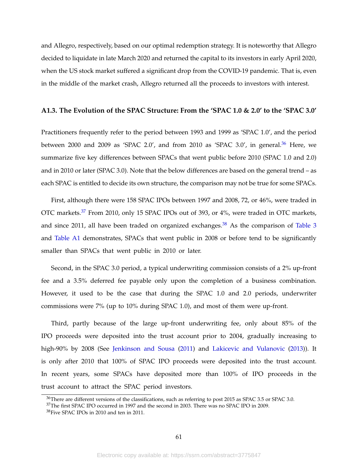and Allegro, respectively, based on our optimal redemption strategy. It is noteworthy that Allegro decided to liquidate in late March 2020 and returned the capital to its investors in early April 2020, when the US stock market suffered a significant drop from the COVID-19 pandemic. That is, even in the middle of the market crash, Allegro returned all the proceeds to investors with interest.

#### **A1.3. The Evolution of the SPAC Structure: From the 'SPAC 1.0 & 2.0' to the 'SPAC 3.0'**

Practitioners frequently refer to the period between 1993 and 1999 as 'SPAC 1.0', and the period between 2000 and 2009 as 'SPAC 2.0', and from 2010 as 'SPAC 3.0', in general. $36$  Here, we summarize five key differences between SPACs that went public before 2010 (SPAC 1.0 and 2.0) and in 2010 or later (SPAC 3.0). Note that the below differences are based on the general trend – as each SPAC is entitled to decide its own structure, the comparison may not be true for some SPACs.

First, although there were 158 SPAC IPOs between 1997 and 2008, 72, or 46%, were traded in OTC markets.<sup>[37](#page-61-1)</sup> From 2010, only 15 SPAC IPOs out of 393, or 4%, were traded in OTC markets, and since 2011, all have been traded on organized exchanges.<sup>[38](#page-61-2)</sup> As the comparison of [Table 3](#page-50-0) and [Table A1](#page-66-0) demonstrates, SPACs that went public in 2008 or before tend to be significantly smaller than SPACs that went public in 2010 or later.

Second, in the SPAC 3.0 period, a typical underwriting commission consists of a 2% up-front fee and a 3.5% deferred fee payable only upon the completion of a business combination. However, it used to be the case that during the SPAC 1.0 and 2.0 periods, underwriter commissions were 7% (up to 10% during SPAC 1.0), and most of them were up-front.

Third, partly because of the large up-front underwriting fee, only about 85% of the IPO proceeds were deposited into the trust account prior to 2004, gradually increasing to high-90% by 2008 (See [Jenkinson and Sousa](#page-44-2) [\(2011\)](#page-44-2) and [Lakicevic and Vulanovic](#page-44-17) [\(2013\)](#page-44-17)). It is only after 2010 that 100% of SPAC IPO proceeds were deposited into the trust account. In recent years, some SPACs have deposited more than 100% of IPO proceeds in the trust account to attract the SPAC period investors.

<span id="page-61-0"></span><sup>36</sup>There are different versions of the classifications, such as referring to post 2015 as SPAC 3.5 or SPAC 3.0.

<span id="page-61-1"></span><sup>37</sup>The first SPAC IPO occurred in 1997 and the second in 2003. There was no SPAC IPO in 2009.

<span id="page-61-2"></span><sup>38</sup>Five SPAC IPOs in 2010 and ten in 2011.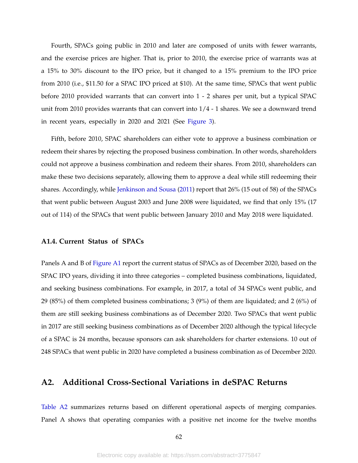Fourth, SPACs going public in 2010 and later are composed of units with fewer warrants, and the exercise prices are higher. That is, prior to 2010, the exercise price of warrants was at a 15% to 30% discount to the IPO price, but it changed to a 15% premium to the IPO price from 2010 (i.e., \$11.50 for a SPAC IPO priced at \$10). At the same time, SPACs that went public before 2010 provided warrants that can convert into 1 - 2 shares per unit, but a typical SPAC unit from 2010 provides warrants that can convert into 1/4 - 1 shares. We see a downward trend in recent years, especially in 2020 and 2021 (See [Figure 3\)](#page-47-0).

Fifth, before 2010, SPAC shareholders can either vote to approve a business combination or redeem their shares by rejecting the proposed business combination. In other words, shareholders could not approve a business combination and redeem their shares. From 2010, shareholders can make these two decisions separately, allowing them to approve a deal while still redeeming their shares. Accordingly, while [Jenkinson and Sousa](#page-44-2) [\(2011\)](#page-44-2) report that 26% (15 out of 58) of the SPACs that went public between August 2003 and June 2008 were liquidated, we find that only 15% (17 out of 114) of the SPACs that went public between January 2010 and May 2018 were liquidated.

#### **A1.4. Current Status of SPACs**

Panels A and B of [Figure A1](#page-65-0) report the current status of SPACs as of December 2020, based on the SPAC IPO years, dividing it into three categories – completed business combinations, liquidated, and seeking business combinations. For example, in 2017, a total of 34 SPACs went public, and 29 (85%) of them completed business combinations; 3 (9%) of them are liquidated; and 2 (6%) of them are still seeking business combinations as of December 2020. Two SPACs that went public in 2017 are still seeking business combinations as of December 2020 although the typical lifecycle of a SPAC is 24 months, because sponsors can ask shareholders for charter extensions. 10 out of 248 SPACs that went public in 2020 have completed a business combination as of December 2020.

## **A2. Additional Cross-Sectional Variations in deSPAC Returns**

[Table A2](#page-67-0) summarizes returns based on different operational aspects of merging companies. Panel A shows that operating companies with a positive net income for the twelve months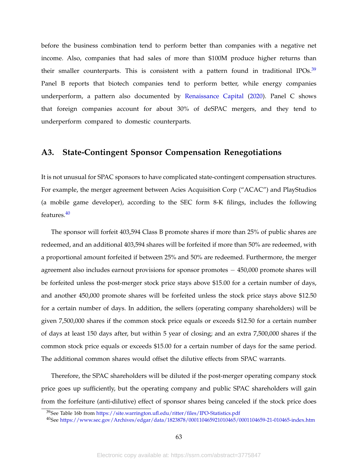before the business combination tend to perform better than companies with a negative net income. Also, companies that had sales of more than \$100M produce higher returns than their smaller counterparts. This is consistent with a pattern found in traditional IPOs.<sup>[39](#page-63-0)</sup> Panel B reports that biotech companies tend to perform better, while energy companies underperform, a pattern also documented by [Renaissance Capital](#page-44-3) [\(2020\)](#page-44-3). Panel C shows that foreign companies account for about 30% of deSPAC mergers, and they tend to underperform compared to domestic counterparts.

## **A3. State-Contingent Sponsor Compensation Renegotiations**

It is not unusual for SPAC sponsors to have complicated state-contingent compensation structures. For example, the merger agreement between Acies Acquisition Corp ("ACAC") and PlayStudios (a mobile game developer), according to the SEC form 8-K filings, includes the following features.<sup>[40](#page-63-1)</sup>

The sponsor will forfeit 403,594 Class B promote shares if more than 25% of public shares are redeemed, and an additional 403,594 shares will be forfeited if more than 50% are redeemed, with a proportional amount forfeited if between 25% and 50% are redeemed. Furthermore, the merger agreement also includes earnout provisions for sponsor promotes − 450,000 promote shares will be forfeited unless the post-merger stock price stays above \$15.00 for a certain number of days, and another 450,000 promote shares will be forfeited unless the stock price stays above \$12.50 for a certain number of days. In addition, the sellers (operating company shareholders) will be given 7,500,000 shares if the common stock price equals or exceeds \$12.50 for a certain number of days at least 150 days after, but within 5 year of closing; and an extra 7,500,000 shares if the common stock price equals or exceeds \$15.00 for a certain number of days for the same period. The additional common shares would offset the dilutive effects from SPAC warrants.

Therefore, the SPAC shareholders will be diluted if the post-merger operating company stock price goes up sufficiently, but the operating company and public SPAC shareholders will gain from the forfeiture (anti-dilutive) effect of sponsor shares being canceled if the stock price does

<span id="page-63-0"></span><sup>39</sup>See Table 16b from <https://site.warrington.ufl.edu/ritter/files/IPO-Statistics.pdf>

<span id="page-63-1"></span><sup>40</sup>See <https://www.sec.gov/Archives/edgar/data/1823878/000110465921010465/0001104659-21-010465-index.htm>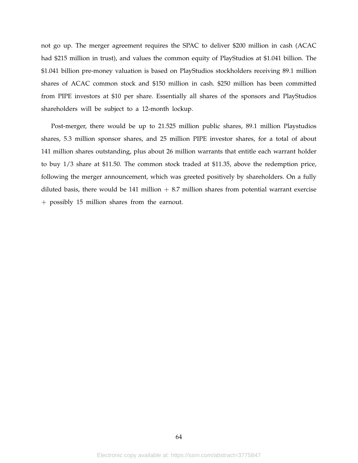not go up. The merger agreement requires the SPAC to deliver \$200 million in cash (ACAC had \$215 million in trust), and values the common equity of PlayStudios at \$1.041 billion. The \$1.041 billion pre-money valuation is based on PlayStudios stockholders receiving 89.1 million shares of ACAC common stock and \$150 million in cash. \$250 million has been committed from PIPE investors at \$10 per share. Essentially all shares of the sponsors and PlayStudios shareholders will be subject to a 12-month lockup.

Post-merger, there would be up to 21.525 million public shares, 89.1 million Playstudios shares, 5.3 million sponsor shares, and 25 million PIPE investor shares, for a total of about 141 million shares outstanding, plus about 26 million warrants that entitle each warrant holder to buy 1/3 share at \$11.50. The common stock traded at \$11.35, above the redemption price, following the merger announcement, which was greeted positively by shareholders. On a fully diluted basis, there would be 141 million  $+ 8.7$  million shares from potential warrant exercise + possibly 15 million shares from the earnout.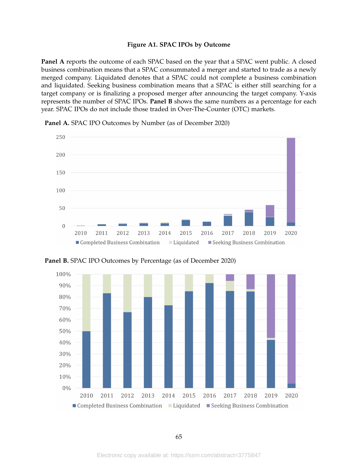#### **Figure A1. SPAC IPOs by Outcome**

<span id="page-65-0"></span>**Panel A** reports the outcome of each SPAC based on the year that a SPAC went public. A closed business combination means that a SPAC consummated a merger and started to trade as a newly merged company. Liquidated denotes that a SPAC could not complete a business combination and liquidated. Seeking business combination means that a SPAC is either still searching for a target company or is finalizing a proposed merger after announcing the target company. Y-axis represents the number of SPAC IPOs. **Panel B** shows the same numbers as a percentage for each year. SPAC IPOs do not include those traded in Over-The-Counter (OTC) markets.



**Panel A.** SPAC IPO Outcomes by Number (as of December 2020)

**Panel B.** SPAC IPO Outcomes by Percentage (as of December 2020)

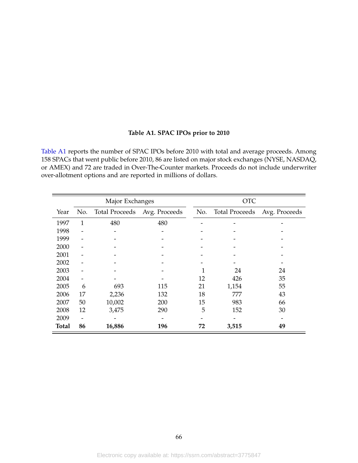#### **Table A1. SPAC IPOs prior to 2010**

<span id="page-66-0"></span>[Table A1](#page-66-0) reports the number of SPAC IPOs before 2010 with total and average proceeds. Among 158 SPACs that went public before 2010, 86 are listed on major stock exchanges (NYSE, NASDAQ, or AMEX) and 72 are traded in Over-The-Counter markets. Proceeds do not include underwriter over-allotment options and are reported in millions of dollars.

| Major Exchanges |              |                       |               | <b>OTC</b> |                       |               |
|-----------------|--------------|-----------------------|---------------|------------|-----------------------|---------------|
| Year            | No.          | <b>Total Proceeds</b> | Avg. Proceeds | No.        | <b>Total Proceeds</b> | Avg. Proceeds |
| 1997            | $\mathbf{1}$ | 480                   | 480           |            |                       |               |
| 1998            |              |                       |               |            |                       |               |
| 1999            |              |                       |               |            |                       |               |
| 2000            |              |                       |               |            |                       |               |
| 2001            |              |                       |               |            |                       |               |
| 2002            |              |                       |               |            |                       |               |
| 2003            |              |                       |               |            | 24                    | 24            |
| 2004            |              |                       |               | 12         | 426                   | 35            |
| 2005            | 6            | 693                   | 115           | 21         | 1,154                 | 55            |
| 2006            | 17           | 2,236                 | 132           | 18         | 777                   | 43            |
| 2007            | 50           | 10,002                | 200           | 15         | 983                   | 66            |
| 2008            | 12           | 3,475                 | 290           | 5          | 152                   | 30            |
| 2009            |              |                       |               |            |                       |               |
| <b>Total</b>    | 86           | 16,886                | 196           | 72         | 3,515                 | 49            |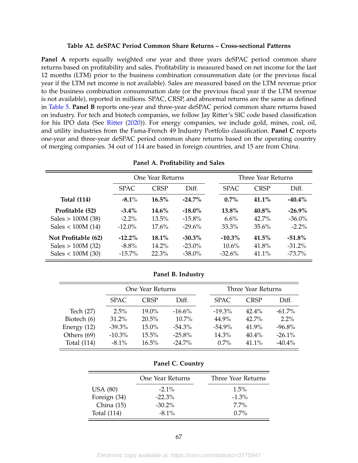#### **Table A2. deSPAC Period Common Share Returns – Cross-sectional Patterns**

<span id="page-67-0"></span>**Panel A** reports equally weighted one year and three years deSPAC period common share returns based on profitability and sales. Profitability is measured based on net income for the last 12 months (LTM) prior to the business combination consummation date (or the previous fiscal year if the LTM net income is not available). Sales are measured based on the LTM revenue prior to the business combination consummation date (or the previous fiscal year if the LTM revenue is not available), reported in millions. SPAC, CRSP, and abnormal returns are the same as defined in [Table 5.](#page-52-0) **Panel B** reports one-year and three-year deSPAC period common share returns based on industry. For tech and biotech companies, we follow Jay Ritter's SIC code based classification for his IPO data (See [Ritter](#page-44-0) [\(2020\)](#page-44-0)). For energy companies, we include gold, mines, coal, oil, and utility industries from the Fama-French 49 Industry Portfolio classification. **Panel C** reports one-year and three-year deSPAC period common share returns based on the operating country of merging companies. 34 out of 114 are based in foreign countries, and 15 are from China.

|                     |             | One Year Returns |           |             | Three Year Returns |           |  |
|---------------------|-------------|------------------|-----------|-------------|--------------------|-----------|--|
|                     | <b>SPAC</b> | <b>CRSP</b>      | Diff.     | <b>SPAC</b> | <b>CRSP</b>        | Diff.     |  |
| <b>Total (114)</b>  | $-8.1\%$    | 16.5%            | $-24.7\%$ | $0.7\%$     | $41.1\%$           | $-40.4\%$ |  |
| Profitable (52)     | $-3.4\%$    | $14.6\%$         | $-18.0\%$ | 13.8%       | $40.8\%$           | $-26.9\%$ |  |
| Sales $> 100M$ (38) | $-2.2\%$    | 13.5%            | $-15.8\%$ | 6.6%        | $42.7\%$           | $-36.0\%$ |  |
| Sales < $100M(14)$  | $-12.0\%$   | $17.6\%$         | $-29.6%$  | 33.3%       | $35.6\%$           | $-2.2\%$  |  |
| Not Profitable (62) | $-12.2\%$   | 18.1%            | $-30.3\%$ | $-10.3\%$   | 41.5%              | $-51.8\%$ |  |
| Sales $> 100M$ (32) | $-8.8\%$    | 14.2%            | $-23.0\%$ | $10.6\%$    | 41.8%              | $-31.2\%$ |  |
| Sales < $100M(30)$  | $-15.7\%$   | 22.3%            | $-38.0\%$ | $-32.6%$    | 41.1%              | $-73.7\%$ |  |

**Panel A. Profitability and Sales**

#### **Panel B. Industry**

|               |             | One Year Returns |           |  | Three Year Returns |          |           |
|---------------|-------------|------------------|-----------|--|--------------------|----------|-----------|
|               | <b>SPAC</b> | <b>CRSP</b>      | Diff.     |  | <b>SPAC</b>        | CRSP     | Diff.     |
| Tech (27)     | 2.5%        | $19.0\%$         | $-16.6%$  |  | $-19.3\%$          | $42.4\%$ | $-61.7\%$ |
| Biotech (6)   | 31.2%       | 20.5%            | $10.7\%$  |  | 44.9%              | $42.7\%$ | $2.2\%$   |
| Energy $(12)$ | $-39.3%$    | 15.0%            | $-54.3\%$ |  | $-54.9\%$          | 41.9%    | $-96.8\%$ |
| Others (69)   | $-10.3\%$   | 15.5%            | $-25.8\%$ |  | 14.3%              | $40.4\%$ | $-26.1\%$ |
| Total (114)   | $-8.1\%$    | 16.5%            | $-24.7\%$ |  | $0.7\%$            | $41.1\%$ | $-40.4\%$ |

#### **Panel C. Country**

| One Year Returns | Three Year Returns |
|------------------|--------------------|
| $-2.1\%$         | $1.5\%$            |
| $-22.3%$         | $-1.3\%$           |
| $-30.2\%$        | $7.7\%$            |
| $-8.1\%$         | $0.7\%$            |
|                  |                    |

Electronic copy available at: https://ssrn.com/abstract=3775847